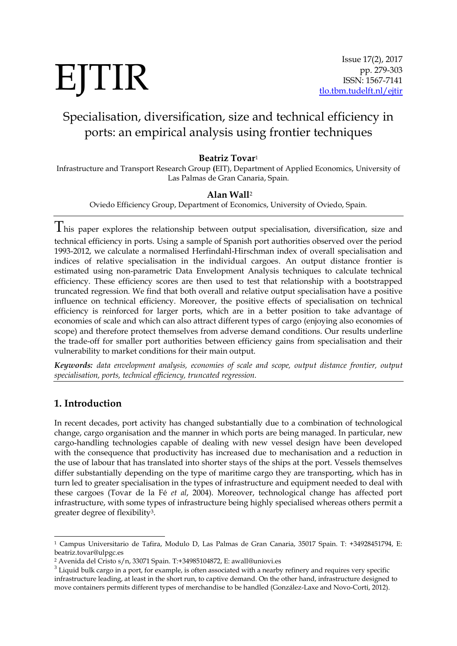# EJTIR

# Specialisation, diversification, size and technical efficiency in ports: an empirical analysis using frontier techniques

# **Beatriz Tovar**<sup>1</sup>

Infrastructure and Transport Research Group **(**EIT), Department of Applied Economics, University of Las Palmas de Gran Canaria, Spain.

### **Alan Wall**<sup>2</sup>

Oviedo Efficiency Group, Department of Economics, University of Oviedo, Spain.

 $T$ his paper explores the relationship between output specialisation, diversification, size and technical efficiency in ports. Using a sample of Spanish port authorities observed over the period 1993-2012, we calculate a normalised Herfindahl-Hirschman index of overall specialisation and indices of relative specialisation in the individual cargoes. An output distance frontier is estimated using non-parametric Data Envelopment Analysis techniques to calculate technical efficiency. These efficiency scores are then used to test that relationship with a bootstrapped truncated regression. We find that both overall and relative output specialisation have a positive influence on technical efficiency. Moreover, the positive effects of specialisation on technical efficiency is reinforced for larger ports, which are in a better position to take advantage of economies of scale and which can also attract different types of cargo (enjoying also economies of scope) and therefore protect themselves from adverse demand conditions. Our results underline the trade-off for smaller port authorities between efficiency gains from specialisation and their vulnerability to market conditions for their main output.

*Keywords: data envelopment analysis, economies of scale and scope, output distance frontier, output specialisation, ports, technical efficiency, truncated regression.*

# **1. Introduction**

1

In recent decades, port activity has changed substantially due to a combination of technological change, cargo organisation and the manner in which ports are being managed. In particular, new cargo-handling technologies capable of dealing with new vessel design have been developed with the consequence that productivity has increased due to mechanisation and a reduction in the use of labour that has translated into shorter stays of the ships at the port. Vessels themselves differ substantially depending on the type of maritime cargo they are transporting, which has in turn led to greater specialisation in the types of infrastructure and equipment needed to deal with these cargoes (Tovar de la Fé *et al*, 2004). Moreover, technological change has affected port infrastructure, with some types of infrastructure being highly specialised whereas others permit a greater degree of flexibility3.

<sup>1</sup> Campus Universitario de Tafira, Modulo D, Las Palmas de Gran Canaria, 35017 Spain. T: +34928451794, E: beatriz.tovar@ulpgc.es

<sup>2</sup> Avenida del Cristo s/n, 33071 Spain. T:+34985104872, E: awall@uniovi.es

 $3$  Liquid bulk cargo in a port, for example, is often associated with a nearby refinery and requires very specific infrastructure leading, at least in the short run, to captive demand. On the other hand, infrastructure designed to move containers permits different types of merchandise to be handled (González-Laxe and Novo-Corti, 2012).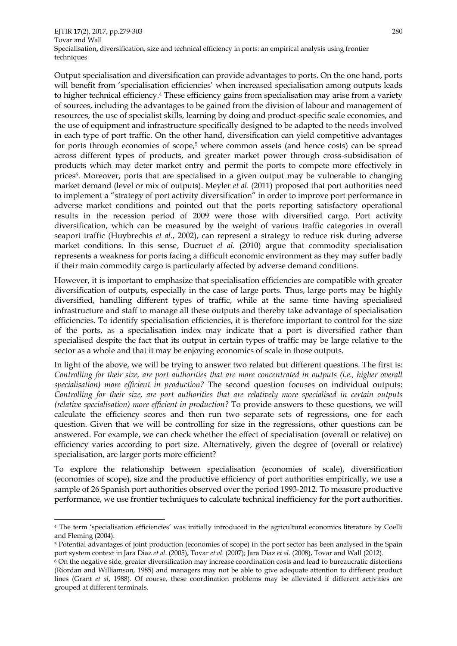EJTIR **17**(2), 2017, pp.279-303 280 Tovar and Wall Specialisation, diversification, size and technical efficiency in ports: an empirical analysis using frontier techniques

Output specialisation and diversification can provide advantages to ports. On the one hand, ports will benefit from 'specialisation efficiencies' when increased specialisation among outputs leads to higher technical efficiency.<sup>4</sup> These efficiency gains from specialisation may arise from a variety of sources, including the advantages to be gained from the division of labour and management of resources, the use of specialist skills, learning by doing and product-specific scale economies, and the use of equipment and infrastructure specifically designed to be adapted to the needs involved in each type of port traffic. On the other hand, diversification can yield competitive advantages for ports through economies of scope,<sup>5</sup> where common assets (and hence costs) can be spread across different types of products, and greater market power through cross-subsidisation of products which may deter market entry and permit the ports to compete more effectively in prices6. Moreover, ports that are specialised in a given output may be vulnerable to changing market demand (level or mix of outputs). Meyler *et al.* (2011) proposed that port authorities need to implement a "strategy of port activity diversification" in order to improve port performance in adverse market conditions and pointed out that the ports reporting satisfactory operational results in the recession period of 2009 were those with diversified cargo. Port activity diversification, which can be measured by the weight of various traffic categories in overall seaport traffic (Huybrechts *et al.*, 2002), can represent a strategy to reduce risk during adverse market conditions. In this sense, Ducruet *el al.* (2010) argue that commodity specialisation represents a weakness for ports facing a difficult economic environment as they may suffer badly if their main commodity cargo is particularly affected by adverse demand conditions.

However, it is important to emphasize that specialisation efficiencies are compatible with greater diversification of outputs, especially in the case of large ports. Thus, large ports may be highly diversified, handling different types of traffic, while at the same time having specialised infrastructure and staff to manage all these outputs and thereby take advantage of specialisation efficiencies. To identify specialisation efficiencies, it is therefore important to control for the size of the ports, as a specialisation index may indicate that a port is diversified rather than specialised despite the fact that its output in certain types of traffic may be large relative to the sector as a whole and that it may be enjoying economics of scale in those outputs.

In light of the above, we will be trying to answer two related but different questions. The first is: *Controlling for their size, are port authorities that are more concentrated in outputs (i.e., higher overall specialisation) more efficient in production?* The second question focuses on individual outputs: *Controlling for their size, are port authorities that are relatively more specialised in certain outputs (relative specialisation) more efficient in production?* To provide answers to these questions, we will calculate the efficiency scores and then run two separate sets of regressions, one for each question. Given that we will be controlling for size in the regressions, other questions can be answered. For example, we can check whether the effect of specialisation (overall or relative) on efficiency varies according to port size. Alternatively, given the degree of (overall or relative) specialisation, are larger ports more efficient?

To explore the relationship between specialisation (economies of scale), diversification (economies of scope), size and the productive efficiency of port authorities empirically, we use a sample of 26 Spanish port authorities observed over the period 1993-2012. To measure productive performance, we use frontier techniques to calculate technical inefficiency for the port authorities.

1

<sup>4</sup> The term 'specialisation efficiencies' was initially introduced in the agricultural economics literature by Coelli and Fleming (2004).

<sup>5</sup> Potential advantages of joint production (economies of scope) in the port sector has been analysed in the Spain port system context in Jara Diaz *et al*. (2005), Tovar *et al*. (2007); Jara Diaz *et al*. (2008), Tovar and Wall (2012).

<sup>6</sup> On the negative side, greater diversification may increase coordination costs and lead to bureaucratic distortions (Riordan and Williamson, 1985) and managers may not be able to give adequate attention to different product lines (Grant *et al*, 1988). Of course, these coordination problems may be alleviated if different activities are grouped at different terminals.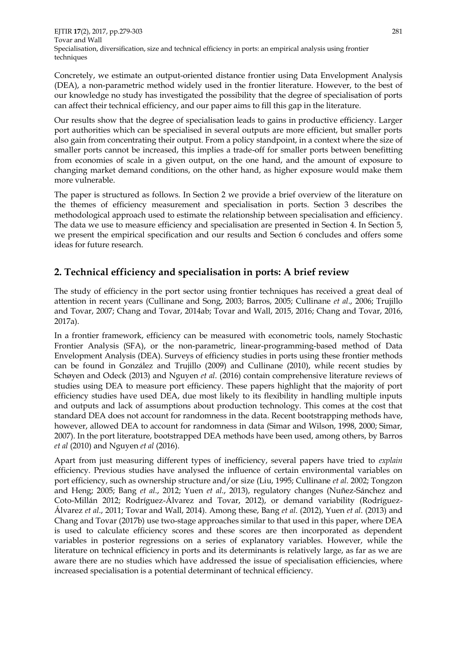Concretely, we estimate an output-oriented distance frontier using Data Envelopment Analysis (DEA), a non-parametric method widely used in the frontier literature. However, to the best of our knowledge no study has investigated the possibility that the degree of specialisation of ports can affect their technical efficiency, and our paper aims to fill this gap in the literature.

Our results show that the degree of specialisation leads to gains in productive efficiency. Larger port authorities which can be specialised in several outputs are more efficient, but smaller ports also gain from concentrating their output. From a policy standpoint, in a context where the size of smaller ports cannot be increased, this implies a trade-off for smaller ports between benefitting from economies of scale in a given output, on the one hand, and the amount of exposure to changing market demand conditions, on the other hand, as higher exposure would make them more vulnerable.

The paper is structured as follows. In Section 2 we provide a brief overview of the literature on the themes of efficiency measurement and specialisation in ports. Section 3 describes the methodological approach used to estimate the relationship between specialisation and efficiency. The data we use to measure efficiency and specialisation are presented in Section 4. In Section 5, we present the empirical specification and our results and Section 6 concludes and offers some ideas for future research.

# **2. Technical efficiency and specialisation in ports: A brief review**

The study of efficiency in the port sector using frontier techniques has received a great deal of attention in recent years (Cullinane and Song, 2003; Barros, 2005; Cullinane *et al*., 2006; Trujillo and Tovar, 2007; Chang and Tovar, 2014ab; Tovar and Wall, 2015, 2016; Chang and Tovar, 2016, 2017a).

In a frontier framework, efficiency can be measured with econometric tools, namely Stochastic Frontier Analysis (SFA), or the non-parametric, linear-programming-based method of Data Envelopment Analysis (DEA). Surveys of efficiency studies in ports using these frontier methods can be found in González and Trujillo (2009) and Cullinane (2010), while recent studies by Schøyen and Odeck (2013) and Nguyen *et al*. (2016) contain comprehensive literature reviews of studies using DEA to measure port efficiency. These papers highlight that the majority of port efficiency studies have used DEA, due most likely to its flexibility in handling multiple inputs and outputs and lack of assumptions about production technology. This comes at the cost that standard DEA does not account for randomness in the data. Recent bootstrapping methods have, however, allowed DEA to account for randomness in data (Simar and Wilson, 1998, 2000; Simar, 2007). In the port literature, bootstrapped DEA methods have been used, among others, by Barros *et al* (2010) and Nguyen *et al* (2016).

Apart from just measuring different types of inefficiency, several papers have tried to *explain* efficiency. Previous studies have analysed the influence of certain environmental variables on port efficiency, such as ownership structure and/or size (Liu, 1995; Cullinane *et al*. 2002; Tongzon and Heng; 2005; Bang *et al*., 2012; Yuen *et al*., 2013), regulatory changes (Nuñez-Sánchez and Coto-Millán 2012; Rodríguez-Álvarez and Tovar, 2012), or demand variability (Rodríguez-Álvarez *et al*., 2011; Tovar and Wall, 2014). Among these, Bang *et al*. (2012), Yuen *et al*. (2013) and Chang and Tovar (2017b) use two-stage approaches similar to that used in this paper, where DEA is used to calculate efficiency scores and these scores are then incorporated as dependent variables in posterior regressions on a series of explanatory variables. However, while the literature on technical efficiency in ports and its determinants is relatively large, as far as we are aware there are no studies which have addressed the issue of specialisation efficiencies, where increased specialisation is a potential determinant of technical efficiency.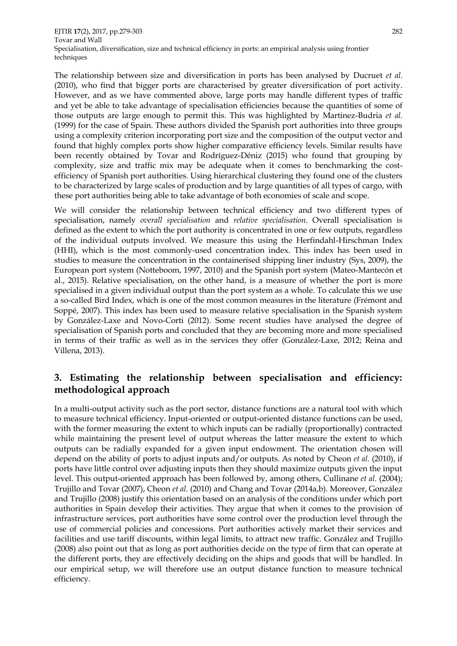EJTIR **17**(2), 2017, pp.279-303 282 Tovar and Wall Specialisation, diversification, size and technical efficiency in ports: an empirical analysis using frontier techniques

The relationship between size and diversification in ports has been analysed by Ducruet *et al*. (2010), who find that bigger ports are characterised by greater diversification of port activity. However, and as we have commented above, large ports may handle different types of traffic and yet be able to take advantage of specialisation efficiencies because the quantities of some of those outputs are large enough to permit this. This was highlighted by Martinez-Budria *et al*. (1999) for the case of Spain. These authors divided the Spanish port authorities into three groups using a complexity criterion incorporating port size and the composition of the output vector and found that highly complex ports show higher comparative efficiency levels. Similar results have been recently obtained by Tovar and Rodríguez-Déniz (2015) who found that grouping by complexity, size and traffic mix may be adequate when it comes to benchmarking the costefficiency of Spanish port authorities. Using hierarchical clustering they found one of the clusters to be characterized by large scales of production and by large quantities of all types of cargo, with these port authorities being able to take advantage of both economies of scale and scope.

We will consider the relationship between technical efficiency and two different types of specialisation, namely *overall specialisation* and *relative specialisation*. Overall specialisation is defined as the extent to which the port authority is concentrated in one or few outputs, regardless of the individual outputs involved. We measure this using the Herfindahl-Hirschman Index (HHI), which is the most commonly-used concentration index. This index has been used in studies to measure the concentration in the containerised shipping liner industry (Sys, 2009), the European port system (Notteboom, 1997, 2010) and the Spanish port system (Mateo-Mantecón et al., 2015). Relative specialisation, on the other hand, is a measure of whether the port is more specialised in a given individual output than the port system as a whole. To calculate this we use a so-called Bird Index, which is one of the most common measures in the literature (Frémont and Soppé, 2007). This index has been used to measure relative specialisation in the Spanish system by González-Laxe and Novo-Corti (2012). Some recent studies have analysed the degree of specialisation of Spanish ports and concluded that they are becoming more and more specialised in terms of their traffic as well as in the services they offer (González-Laxe, 2012; Reina and Villena, 2013).

# **3. Estimating the relationship between specialisation and efficiency: methodological approach**

In a multi-output activity such as the port sector, distance functions are a natural tool with which to measure technical efficiency. Input-oriented or output-oriented distance functions can be used, with the former measuring the extent to which inputs can be radially (proportionally) contracted while maintaining the present level of output whereas the latter measure the extent to which outputs can be radially expanded for a given input endowment. The orientation chosen will depend on the ability of ports to adjust inputs and/or outputs. As noted by Cheon *et al*. (2010), if ports have little control over adjusting inputs then they should maximize outputs given the input level. This output-oriented approach has been followed by, among others, Cullinane *et al*. (2004); Trujillo and Tovar (2007), Cheon *et al*. (2010) and Chang and Tovar (2014a,b). Moreover, González and Trujillo (2008) justify this orientation based on an analysis of the conditions under which port authorities in Spain develop their activities. They argue that when it comes to the provision of infrastructure services, port authorities have some control over the production level through the use of commercial policies and concessions. Port authorities actively market their services and facilities and use tariff discounts, within legal limits, to attract new traffic. González and Trujillo (2008) also point out that as long as port authorities decide on the type of firm that can operate at the different ports, they are effectively deciding on the ships and goods that will be handled. In our empirical setup, we will therefore use an output distance function to measure technical efficiency.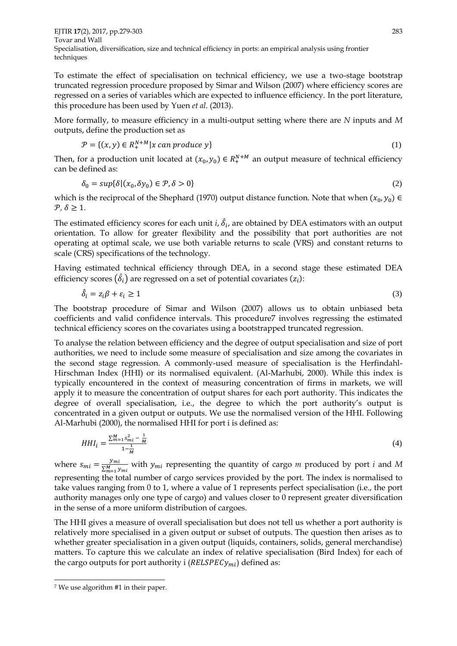EJTIR **17**(2), 2017, pp.279-303 283 Tovar and Wall Specialisation, diversification, size and technical efficiency in ports: an empirical analysis using frontier techniques

To estimate the effect of specialisation on technical efficiency, we use a two-stage bootstrap truncated regression procedure proposed by Simar and Wilson (2007) where efficiency scores are regressed on a series of variables which are expected to influence efficiency. In the port literature, this procedure has been used by Yuen *et al*. (2013).

More formally, to measure efficiency in a multi-output setting where there are *N* inputs and *M* outputs, define the production set as

$$
\mathcal{P} = \{ (x, y) \in R_+^{N+M} | x \text{ can produce } y \}
$$
\n
$$
\tag{1}
$$

Then, for a production unit located at  $(x_0, y_0) \in R^{N+M}_+$  an output measure of technical efficiency can be defined as:

$$
\delta_0 = \sup \{ \delta | (x_0, \delta y_0) \in \mathcal{P}, \delta > 0 \}
$$
\n<sup>(2)</sup>

which is the reciprocal of the Shephard (1970) output distance function. Note that when  $(x_0, y_0) \in$  $\mathcal{P}, \delta \geq 1$ .

The estimated efficiency scores for each unit *i*,  $\hat{\delta}_i$ , are obtained by DEA estimators with an output orientation. To allow for greater flexibility and the possibility that port authorities are not operating at optimal scale, we use both variable returns to scale (VRS) and constant returns to scale (CRS) specifications of the technology.

Having estimated technical efficiency through DEA, in a second stage these estimated DEA efficiency scores  $(\hat{\delta_i})$  are regressed on a set of potential covariates  $(z_i)$ :

$$
\hat{\delta}_i = z_i \beta + \varepsilon_i \ge 1 \tag{3}
$$

The bootstrap procedure of Simar and Wilson (2007) allows us to obtain unbiased beta coefficients and valid confidence intervals. This procedure7 involves regressing the estimated technical efficiency scores on the covariates using a bootstrapped truncated regression.

To analyse the relation between efficiency and the degree of output specialisation and size of port authorities, we need to include some measure of specialisation and size among the covariates in the second stage regression. A commonly-used measure of specialisation is the Herfindahl-Hirschman Index (HHI) or its normalised equivalent. (Al-Marhubi, 2000). While this index is typically encountered in the context of measuring concentration of firms in markets, we will apply it to measure the concentration of output shares for each port authority. This indicates the degree of overall specialisation, i.e., the degree to which the port authority's output is concentrated in a given output or outputs. We use the normalised version of the HHI. Following Al-Marhubi (2000), the normalised HHI for port i is defined as:

$$
HHI_i = \frac{\sum_{m=1}^{M} s_{mi}^2 - \frac{1}{M}}{1 - \frac{1}{M}}
$$
(4)

where  $s_{mi} = \frac{y_{mi}}{S_M}$  $\frac{y_{mi}}{\sum_{m=1}^{M} y_{mi}}$  with  $y_{mi}$  representing the quantity of cargo *m* produced by port *i* and *M* representing the total number of cargo services provided by the port. The index is normalised to take values ranging from 0 to 1, where a value of 1 represents perfect specialisation (i.e., the port authority manages only one type of cargo) and values closer to 0 represent greater diversification in the sense of a more uniform distribution of cargoes.

The HHI gives a measure of overall specialisation but does not tell us whether a port authority is relatively more specialised in a given output or subset of outputs. The question then arises as to whether greater specialisation in a given output (liquids, containers, solids, general merchandise) matters. To capture this we calculate an index of relative specialisation (Bird Index) for each of the cargo outputs for port authority i ( $RELSPECy_{mi}$ ) defined as:

.

<sup>7</sup> We use algorithm #1 in their paper.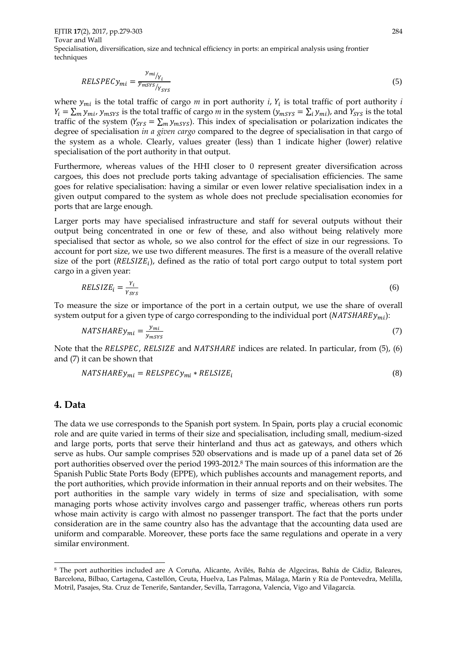EJTIR **17**(2), 2017, pp.279-303 284 Tovar and Wall Specialisation, diversification, size and technical efficiency in ports: an empirical analysis using frontier techniques

$$
RELSPECy_{mi} = \frac{y_{mi}}{y_{mSYS}}/Y_{YSYS}
$$
\n<sup>(5)</sup>

where  $y_{mi}$  is the total traffic of cargo  $m$  in port authority  $i$ ,  $Y_i$  is total traffic of port authority  $i$  $Y_i = \sum_m y_{mi}$ ,  $y_{mSYS}$  is the total traffic of cargo *m* in the system ( $y_{mSYS} = \sum_i y_{mi}$ ), and  $Y_{SYS}$  is the total traffic of the system ( $Y_{SYS} = \sum_m y_{mSYS}$ ). This index of specialisation or polarization indicates the degree of specialisation *in a given cargo* compared to the degree of specialisation in that cargo of the system as a whole. Clearly, values greater (less) than 1 indicate higher (lower) relative specialisation of the port authority in that output.

Furthermore, whereas values of the HHI closer to 0 represent greater diversification across cargoes, this does not preclude ports taking advantage of specialisation efficiencies. The same goes for relative specialisation: having a similar or even lower relative specialisation index in a given output compared to the system as whole does not preclude specialisation economies for ports that are large enough.

Larger ports may have specialised infrastructure and staff for several outputs without their output being concentrated in one or few of these, and also without being relatively more specialised that sector as whole, so we also control for the effect of size in our regressions. To account for port size, we use two different measures. The first is a measure of the overall relative size of the port  $(RELSIZE<sub>i</sub>)$ , defined as the ratio of total port cargo output to total system port cargo in a given year:

$$
RELSIZE_i = \frac{Y_i}{Y_{SYS}} \tag{6}
$$

To measure the size or importance of the port in a certain output, we use the share of overall system output for a given type of cargo corresponding to the individual port ( $NATSHAREy_{mi}$ ):

$$
NATSHAREy_{mi} = \frac{y_{mi}}{y_{mSYS}}\tag{7}
$$

Note that the RELSPEC, RELSIZE and NATSHARE indices are related. In particular, from  $(5)$ ,  $(6)$ and (7) it can be shown that

$$
NATSHAREy_{mi} = RELSPECy_{mi} * RELSIZE_i
$$
\n(8)

#### **4. Data**

.

The data we use corresponds to the Spanish port system. In Spain, ports play a crucial economic role and are quite varied in terms of their size and specialisation, including small, medium-sized and large ports, ports that serve their hinterland and thus act as gateways, and others which serve as hubs. Our sample comprises 520 observations and is made up of a panel data set of 26 port authorities observed over the period 1993-2012.<sup>8</sup> The main sources of this information are the Spanish Public State Ports Body (EPPE), which publishes accounts and management reports, and the port authorities, which provide information in their annual reports and on their websites. The port authorities in the sample vary widely in terms of size and specialisation, with some managing ports whose activity involves cargo and passenger traffic, whereas others run ports whose main activity is cargo with almost no passenger transport. The fact that the ports under consideration are in the same country also has the advantage that the accounting data used are uniform and comparable. Moreover, these ports face the same regulations and operate in a very similar environment.

<sup>8</sup> The port authorities included are A Coruña, Alicante, Avilés, Bahía de Algeciras, Bahía de Cádiz, Baleares, Barcelona, Bilbao, Cartagena, Castellón, Ceuta, Huelva, Las Palmas, Málaga, Marín y Ría de Pontevedra, Melilla, Motril, Pasajes, Sta. Cruz de Tenerife, Santander, Sevilla, Tarragona, Valencia, Vigo and Vilagarcía.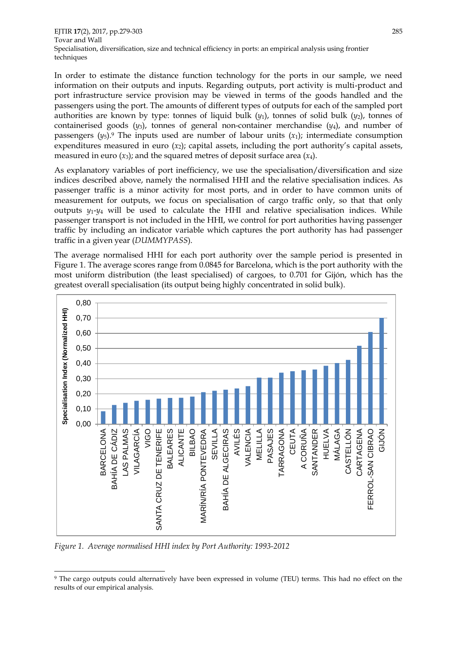In order to estimate the distance function technology for the ports in our sample, we need information on their outputs and inputs. Regarding outputs, port activity is multi-product and port infrastructure service provision may be viewed in terms of the goods handled and the passengers using the port. The amounts of different types of outputs for each of the sampled port authorities are known by type: tonnes of liquid bulk  $(y_1)$ , tonnes of solid bulk  $(y_2)$ , tonnes of containerised goods  $(y_3)$ , tonnes of general non-container merchandise  $(y_4)$ , and number of passengers  $(y_5)$ .<sup>9</sup> The inputs used are number of labour units  $(x_1)$ ; intermediate consumption expenditures measured in euro  $(x_2)$ ; capital assets, including the port authority's capital assets, measured in euro  $(x_3)$ ; and the squared metres of deposit surface area  $(x_4)$ .

As explanatory variables of port inefficiency, we use the specialisation/diversification and size indices described above, namely the normalised HHI and the relative specialisation indices. As passenger traffic is a minor activity for most ports, and in order to have common units of measurement for outputs, we focus on specialisation of cargo traffic only, so that that only outputs  $y_1 - y_4$  will be used to calculate the HHI and relative specialisation indices. While passenger transport is not included in the HHI, we control for port authorities having passenger traffic by including an indicator variable which captures the port authority has had passenger traffic in a given year (*DUMMYPASS*).

The average normalised HHI for each port authority over the sample period is presented in Figure 1. The average scores range from 0.0845 for Barcelona, which is the port authority with the most uniform distribution (the least specialised) of cargoes, to 0.701 for Gijón, which has the greatest overall specialisation (its output being highly concentrated in solid bulk).



*Figure 1. Average normalised HHI index by Port Authority: 1993-2012*

<sup>1</sup> <sup>9</sup> The cargo outputs could alternatively have been expressed in volume (TEU) terms. This had no effect on the results of our empirical analysis.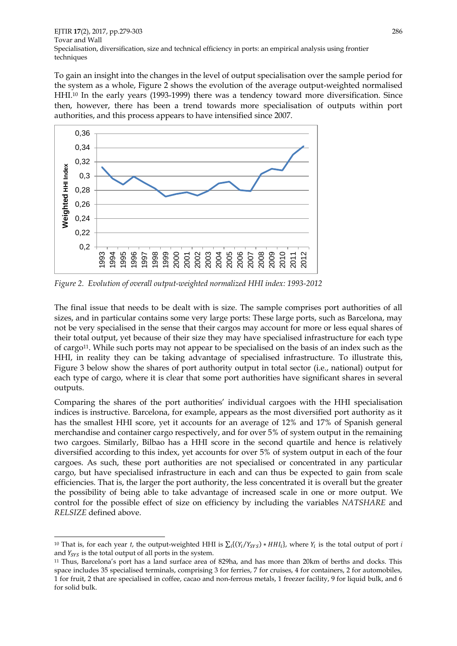EJTIR **17**(2), 2017, pp.279-303 286 Tovar and Wall Specialisation, diversification, size and technical efficiency in ports: an empirical analysis using frontier techniques

To gain an insight into the changes in the level of output specialisation over the sample period for the system as a whole, Figure 2 shows the evolution of the average output-weighted normalised HHI.<sup>10</sup> In the early years (1993-1999) there was a tendency toward more diversification. Since then, however, there has been a trend towards more specialisation of outputs within port authorities, and this process appears to have intensified since 2007.



*Figure 2. Evolution of overall output-weighted normalized HHI index: 1993-2012*

The final issue that needs to be dealt with is size. The sample comprises port authorities of all sizes, and in particular contains some very large ports: These large ports, such as Barcelona, may not be very specialised in the sense that their cargos may account for more or less equal shares of their total output, yet because of their size they may have specialised infrastructure for each type of cargo11. While such ports may not appear to be specialised on the basis of an index such as the HHI, in reality they can be taking advantage of specialised infrastructure. To illustrate this, Figure 3 below show the shares of port authority output in total sector (i.e., national) output for each type of cargo, where it is clear that some port authorities have significant shares in several outputs.

Comparing the shares of the port authorities' individual cargoes with the HHI specialisation indices is instructive. Barcelona, for example, appears as the most diversified port authority as it has the smallest HHI score, yet it accounts for an average of 12% and 17% of Spanish general merchandise and container cargo respectively, and for over 5% of system output in the remaining two cargoes. Similarly, Bilbao has a HHI score in the second quartile and hence is relatively diversified according to this index, yet accounts for over 5% of system output in each of the four cargoes. As such, these port authorities are not specialised or concentrated in any particular cargo, but have specialised infrastructure in each and can thus be expected to gain from scale efficiencies. That is, the larger the port authority, the less concentrated it is overall but the greater the possibility of being able to take advantage of increased scale in one or more output. We control for the possible effect of size on efficiency by including the variables *NATSHARE* and *RELSIZE* defined above.

1

<sup>&</sup>lt;sup>10</sup> That is, for each year *t*, the output-weighted HHI is  $\sum_i \{(Y_i/Y_{SYS}) * HH_i\}$ , where  $Y_i$  is the total output of port *i* and  $Y_{SVS}$  is the total output of all ports in the system.

<sup>11</sup> Thus, Barcelona's port has a land surface area of 829ha, and has more than 20km of berths and docks. This space includes 35 specialised terminals, comprising 3 for ferries, 7 for cruises, 4 for containers, 2 for automobiles, 1 for fruit, 2 that are specialised in coffee, cacao and non-ferrous metals, 1 freezer facility, 9 for liquid bulk, and 6 for solid bulk.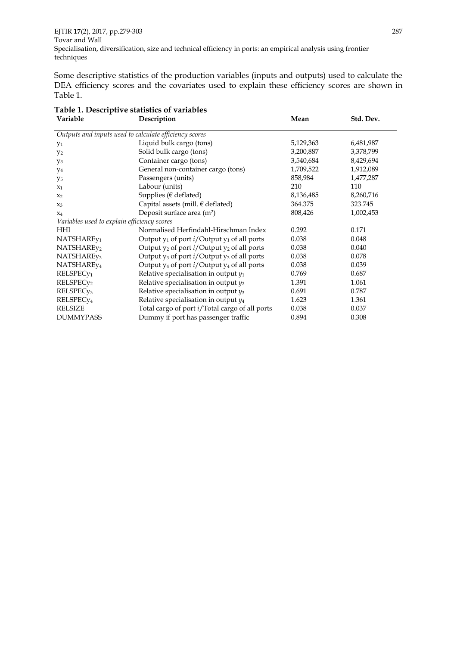EJTIR **17**(2), 2017, pp.279-303 287 Tovar and Wall Specialisation, diversification, size and technical efficiency in ports: an empirical analysis using frontier techniques

Some descriptive statistics of the production variables (inputs and outputs) used to calculate the DEA efficiency scores and the covariates used to explain these efficiency scores are shown in Table 1.

| Variable                                               | Description                                              | Mean      | Std. Dev. |  |  |  |  |
|--------------------------------------------------------|----------------------------------------------------------|-----------|-----------|--|--|--|--|
| Outputs and inputs used to calculate efficiency scores |                                                          |           |           |  |  |  |  |
| Y <sub>1</sub>                                         | Liquid bulk cargo (tons)                                 | 5,129,363 | 6,481,987 |  |  |  |  |
| $y_2$                                                  | Solid bulk cargo (tons)                                  | 3,200,887 | 3,378,799 |  |  |  |  |
| yз                                                     | Container cargo (tons)                                   | 3,540,684 | 8,429,694 |  |  |  |  |
| Y4                                                     | General non-container cargo (tons)                       | 1,709,522 | 1,912,089 |  |  |  |  |
| y5                                                     | Passengers (units)                                       | 858,984   | 1,477,287 |  |  |  |  |
| $x_1$                                                  | Labour (units)                                           | 210       | 110       |  |  |  |  |
| $x_2$                                                  | Supplies ( $\epsilon$ deflated)                          | 8,136,485 | 8,260,716 |  |  |  |  |
| $X_3$                                                  | Capital assets (mill. $\epsilon$ deflated)               | 364.375   | 323.745   |  |  |  |  |
| $X_4$                                                  | Deposit surface area (m <sup>2</sup> )                   | 808,426   | 1,002,453 |  |  |  |  |
| Variables used to explain efficiency scores            |                                                          |           |           |  |  |  |  |
| HHI                                                    | Normalised Herfindahl-Hirschman Index                    | 0.292     | 0.171     |  |  |  |  |
| NATSHARE <sub>y1</sub>                                 | Output $y_1$ of port <i>i</i> /Output $y_1$ of all ports | 0.038     | 0.048     |  |  |  |  |
| NATSHARE <sub>V2</sub>                                 | Output $y_2$ of port <i>i</i> /Output $y_2$ of all ports | 0.038     | 0.040     |  |  |  |  |
| NATSHARE <sub>V3</sub>                                 | Output $y_3$ of port <i>i</i> /Output $y_3$ of all ports | 0.038     | 0.078     |  |  |  |  |
| NATSHARE <sub>y4</sub>                                 | Output $y_4$ of port $i$ /Output $y_4$ of all ports      | 0.038     | 0.039     |  |  |  |  |
| RELSPEC <sub>y1</sub>                                  | Relative specialisation in output $y_1$                  | 0.769     | 0.687     |  |  |  |  |
| RELSPEC <sub>y<sub>2</sub></sub>                       | Relative specialisation in output $y_2$                  | 1.391     | 1.061     |  |  |  |  |
| RELSPEC <sub>y3</sub>                                  | Relative specialisation in output $y_3$                  | 0.691     | 0.787     |  |  |  |  |
| RELSPEC <sub>y4</sub>                                  | Relative specialisation in output $y_4$                  | 1.623     | 1.361     |  |  |  |  |
| <b>RELSIZE</b>                                         | Total cargo of port i/Total cargo of all ports           | 0.038     | 0.037     |  |  |  |  |
| <b>DUMMYPASS</b>                                       | Dummy if port has passenger traffic                      | 0.894     | 0.308     |  |  |  |  |

# **Table 1. Descriptive statistics of variables**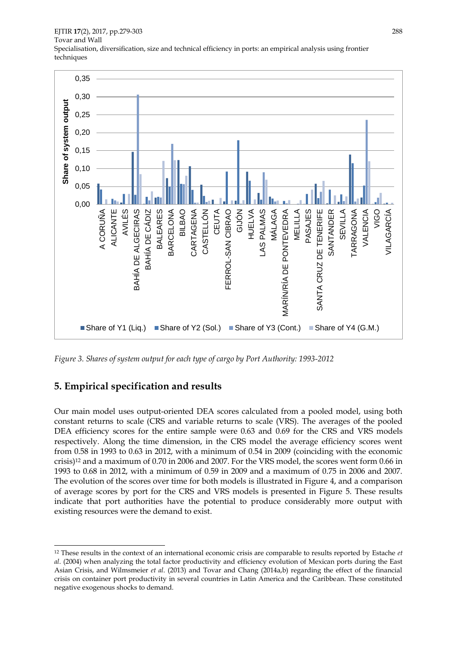EJTIR **17**(2), 2017, pp.279-303 288 Tovar and Wall Specialisation, diversification, size and technical efficiency in ports: an empirical analysis using frontier techniques



*Figure 3. Shares of system output for each type of cargo by Port Authority: 1993-2012*

#### **5. Empirical specification and results**

1

Our main model uses output-oriented DEA scores calculated from a pooled model, using both constant returns to scale (CRS and variable returns to scale (VRS). The averages of the pooled DEA efficiency scores for the entire sample were 0.63 and 0.69 for the CRS and VRS models respectively. Along the time dimension, in the CRS model the average efficiency scores went from 0.58 in 1993 to 0.63 in 2012, with a minimum of 0.54 in 2009 (coinciding with the economic crisis)<sup>12</sup> and a maximum of 0.70 in 2006 and 2007. For the VRS model, the scores went form 0.66 in 1993 to 0.68 in 2012, with a minimum of 0.59 in 2009 and a maximum of 0.75 in 2006 and 2007. The evolution of the scores over time for both models is illustrated in Figure 4, and a comparison of average scores by port for the CRS and VRS models is presented in Figure 5. These results indicate that port authorities have the potential to produce considerably more output with existing resources were the demand to exist.

<sup>12</sup> These results in the context of an international economic crisis are comparable to results reported by Estache *et al*. (2004) when analyzing the total factor productivity and efficiency evolution of Mexican ports during the East Asian Crisis, and Wilmsmeier *et al*. (2013) and Tovar and Chang (2014a,b) regarding the effect of the financial crisis on container port productivity in several countries in Latin America and the Caribbean. These constituted negative exogenous shocks to demand.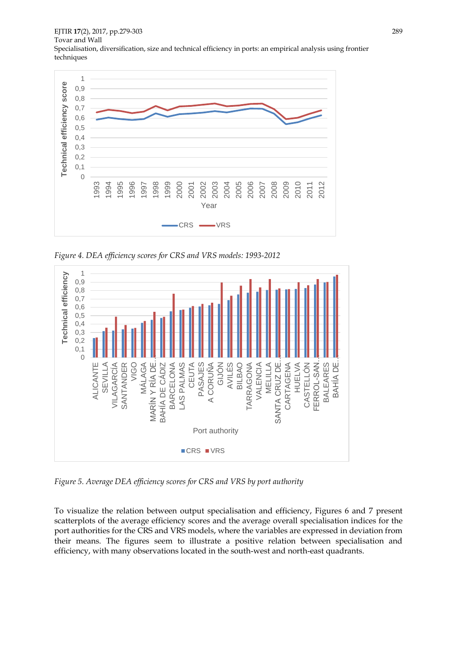EJTIR **17**(2), 2017, pp.279-303 289 Tovar and Wall Specialisation, diversification, size and technical efficiency in ports: an empirical analysis using frontier techniques



*Figure 4. DEA efficiency scores for CRS and VRS models: 1993-2012*



*Figure 5. Average DEA efficiency scores for CRS and VRS by port authority*

To visualize the relation between output specialisation and efficiency, Figures 6 and 7 present scatterplots of the average efficiency scores and the average overall specialisation indices for the port authorities for the CRS and VRS models, where the variables are expressed in deviation from their means. The figures seem to illustrate a positive relation between specialisation and efficiency, with many observations located in the south-west and north-east quadrants.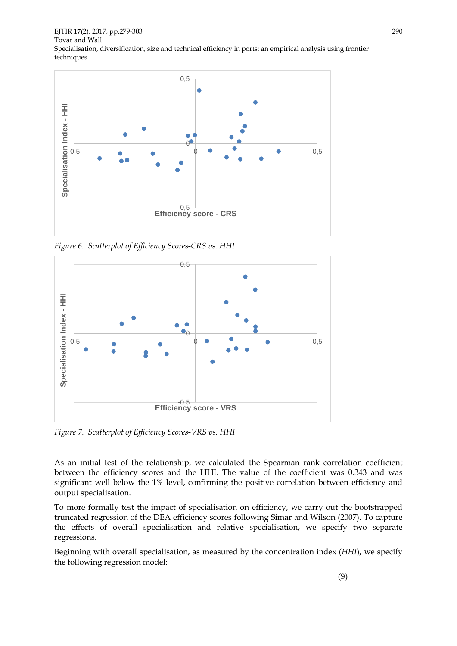EJTIR **17**(2), 2017, pp.279-303 290 Tovar and Wall Specialisation, diversification, size and technical efficiency in ports: an empirical analysis using frontier techniques



*Figure 6. Scatterplot of Efficiency Scores-CRS vs. HHI*



*Figure 7. Scatterplot of Efficiency Scores-VRS vs. HHI*

As an initial test of the relationship, we calculated the Spearman rank correlation coefficient between the efficiency scores and the HHI. The value of the coefficient was 0.343 and was significant well below the 1% level, confirming the positive correlation between efficiency and output specialisation.

To more formally test the impact of specialisation on efficiency, we carry out the bootstrapped truncated regression of the DEA efficiency scores following Simar and Wilson (2007). To capture the effects of overall specialisation and relative specialisation, we specify two separate regressions.

Beginning with overall specialisation, as measured by the concentration index (*HHI*), we specify the following regression model: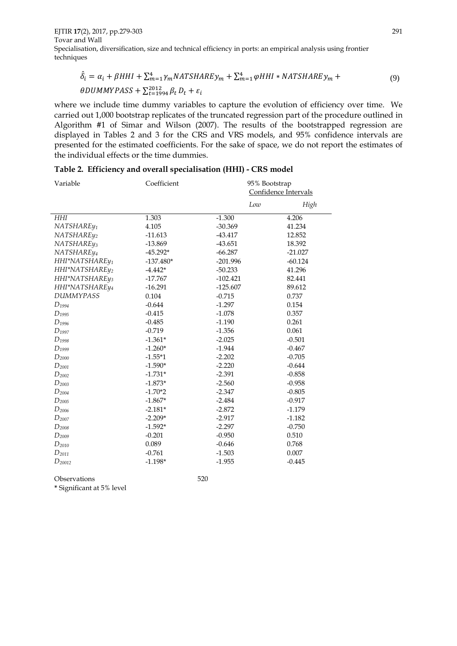EJTIR **17**(2), 2017, pp.279-303 291 Tovar and Wall Specialisation, diversification, size and technical efficiency in ports: an empirical analysis using frontier techniques

$$
\hat{\delta}_i = \alpha_i + \beta HHI + \sum_{m=1}^4 \gamma_m NATSHARE \gamma_m + \sum_{m=1}^4 \varphi HHI * NATSHARE \gamma_m + \theta DUMMYPASS + \sum_{t=1994}^{2012} \beta_t D_t + \varepsilon_i
$$
\n(9)

where we include time dummy variables to capture the evolution of efficiency over time. We carried out 1,000 bootstrap replicates of the truncated regression part of the procedure outlined in Algorithm #1 of Simar and Wilson (2007). The results of the bootstrapped regression are displayed in Tables 2 and 3 for the CRS and VRS models, and 95% confidence intervals are presented for the estimated coefficients. For the sake of space, we do not report the estimates of the individual effects or the time dummies.

| Variable                   | Coefficient | 95% Bootstrap        |           |
|----------------------------|-------------|----------------------|-----------|
|                            |             | Confidence Intervals |           |
|                            |             | Low                  | High      |
| HHI                        | 1.303       | $-1.300$             | 4.206     |
| NATSHARE <sub>V1</sub>     | 4.105       | $-30.369$            | 41.234    |
| NATSHARE <sub>V2</sub>     | $-11.613$   | $-43.417$            | 12.852    |
| NATSHARE <sub>V3</sub>     | $-13.869$   | $-43.651$            | 18.392    |
| NATSHARE <sub>V4</sub>     | $-45.292*$  | $-66.287$            | $-21.027$ |
| HHI*NATSHARE <sub>V1</sub> | $-137.480*$ | $-201.996$           | $-60.124$ |
| HHI*NATSHAREy2             | $-4.442*$   | $-50.233$            | 41.296    |
| HHI*NATSHAREy3             | $-17.767$   | $-102.421$           | 82.441    |
| HHI*NATSHARE <sub>V4</sub> | $-16.291$   | $-125.607$           | 89.612    |
| <b>DUMMYPASS</b>           | 0.104       | $-0.715$             | 0.737     |
| $D_{1994}$                 | $-0.644$    | $-1.297$             | 0.154     |
| $D_{1995}$                 | $-0.415$    | $-1.078$             | 0.357     |
| $D_{1996}$                 | $-0.485$    | $-1.190$             | 0.261     |
| $D_{1997}$                 | $-0.719$    | $-1.356$             | 0.061     |
| $D_{1998}$                 | $-1.361*$   | $-2.025$             | $-0.501$  |
| $D_{1999}$                 | $-1.260*$   | $-1.944$             | $-0.467$  |
| $D_{2000}$                 | $-1.55*1$   | $-2.202$             | $-0.705$  |
| $D_{2001}$                 | $-1.590*$   | $-2.220$             | $-0.644$  |
| $D_{2002}$                 | $-1.731*$   | $-2.391$             | $-0.858$  |
| $D_{2003}$                 | $-1.873*$   | $-2.560$             | $-0.958$  |
| $D_{2004}$                 | $-1.70*2$   | $-2.347$             | $-0.805$  |
| $D_{2005}$                 | $-1.867*$   | $-2.484$             | $-0.917$  |
| $D_{2006}$                 | $-2.181*$   | $-2.872$             | $-1.179$  |
| $D_{2007}$                 | $-2.209*$   | $-2.917$             | $-1.182$  |
| $D_{2008}$                 | $-1.592*$   | $-2.297$             | $-0.750$  |
| $D_{2009}$                 | $-0.201$    | $-0.950$             | 0.510     |
| $D_{2010}$                 | 0.089       | $-0.646$             | 0.768     |
| $D_{2011}$                 | $-0.761$    | $-1.503$             | 0.007     |
| $D_{20012}$                | $-1.198*$   | $-1.955$             | $-0.445$  |
|                            |             |                      |           |

|  |  |  | Table 2. Efficiency and overall specialisation (HHI) - CRS model |  |  |
|--|--|--|------------------------------------------------------------------|--|--|
|--|--|--|------------------------------------------------------------------|--|--|

Observations 5

$$
520\,
$$

**\*** Significant at 5% level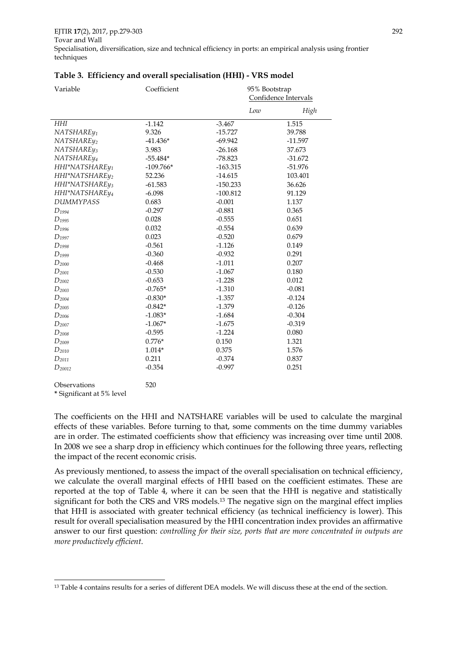| Variable               | Coefficient | 95% Bootstrap<br>Confidence Intervals |           |
|------------------------|-------------|---------------------------------------|-----------|
|                        |             | Low                                   | High      |
| HHI                    | $-1.142$    | $-3.467$                              | 1.515     |
| NATSHARE <sub>V1</sub> | 9.326       | $-15.727$                             | 39.788    |
| NATSHAREy2             | $-41.436*$  | $-69.942$                             | $-11.597$ |
| NATSHARE <sub>V3</sub> | 3.983       | $-26.168$                             | 37.673    |
| NATSHARE <sub>V4</sub> | $-55.484*$  | $-78.823$                             | $-31.672$ |
| HHI*NATSHAREy1         | $-109.766*$ | $-163.315$                            | $-51.976$ |
| HHI*NATSHAREy2         | 52.236      | $-14.615$                             | 103.401   |
| HHI*NATSHAREy3         | $-61.583$   | $-150.233$                            | 36.626    |
| HHI*NATSHAREy4         | $-6.098$    | $-100.812$                            | 91.129    |
| <b>DUMMYPASS</b>       | 0.683       | $-0.001$                              | 1.137     |
| $D_{1994}$             | $-0.297$    | $-0.881$                              | 0.365     |
| $D_{1995}$             | 0.028       | $-0.555$                              | 0.651     |
| $D_{1996}$             | 0.032       | $-0.554$                              | 0.639     |
| $D_{1997}$             | 0.023       | $-0.520$                              | 0.679     |
| $D_{1998}$             | $-0.561$    | $-1.126$                              | 0.149     |
| $D_{1999}$             | $-0.360$    | $-0.932$                              | 0.291     |
| $D_{2000}$             | $-0.468$    | $-1.011$                              | 0.207     |
| $D_{2001}$             | $-0.530$    | $-1.067$                              | 0.180     |
| $D_{2002}$             | $-0.653$    | $-1.228$                              | 0.012     |
| $D_{2003}$             | $-0.765*$   | $-1.310$                              | $-0.081$  |
| $D_{2004}$             | $-0.830*$   | $-1.357$                              | $-0.124$  |
| $D_{2005}$             | $-0.842*$   | $-1.379$                              | $-0.126$  |
| $D_{2006}$             | $-1.083*$   | $-1.684$                              | $-0.304$  |
| $D_{2007}$             | $-1.067*$   | $-1.675$                              | $-0.319$  |
| $D_{2008}$             | $-0.595$    | $-1.224$                              | 0.080     |
| $D_{2009}$             | $0.776*$    | 0.150                                 | 1.321     |
| $D_{2010}$             | $1.014*$    | 0.375                                 | 1.576     |
| $D_{2011}$             | 0.211       | $-0.374$                              | 0.837     |
| $D_{20012}$            | $-0.354$    | $-0.997$                              | 0.251     |
| Observations           | 520         |                                       |           |

#### **Table 3. Efficiency and overall specialisation (HHI) - VRS model**

**\*** Significant at 5% level

.

The coefficients on the HHI and NATSHARE variables will be used to calculate the marginal effects of these variables. Before turning to that, some comments on the time dummy variables are in order. The estimated coefficients show that efficiency was increasing over time until 2008. In 2008 we see a sharp drop in efficiency which continues for the following three years, reflecting the impact of the recent economic crisis.

As previously mentioned, to assess the impact of the overall specialisation on technical efficiency, we calculate the overall marginal effects of HHI based on the coefficient estimates. These are reported at the top of Table 4, where it can be seen that the HHI is negative and statistically significant for both the CRS and VRS models.<sup>13</sup> The negative sign on the marginal effect implies that HHI is associated with greater technical efficiency (as technical inefficiency is lower). This result for overall specialisation measured by the HHI concentration index provides an affirmative answer to our first question: *controlling for their size, ports that are more concentrated in outputs are more productively efficient*.

<sup>&</sup>lt;sup>13</sup> Table 4 contains results for a series of different DEA models. We will discuss these at the end of the section.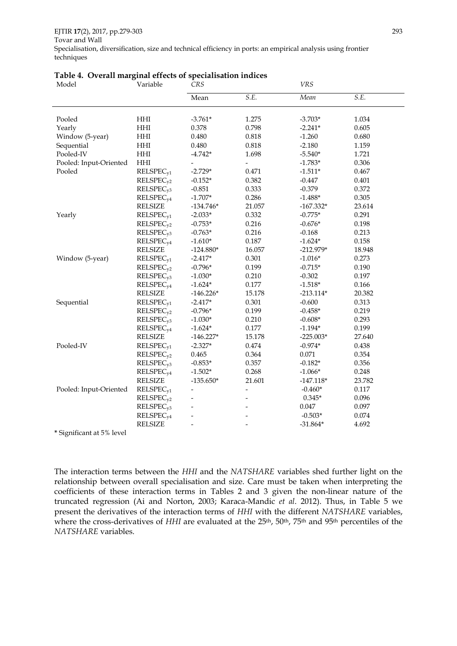| Model                          | Variable                    | CRS            |                          | VRS         |        |  |
|--------------------------------|-----------------------------|----------------|--------------------------|-------------|--------|--|
|                                |                             | Mean           | S.E.                     | Mean        | S.E.   |  |
| Pooled                         | HHI                         | $-3.761*$      | 1.275                    | $-3.703*$   | 1.034  |  |
| Yearly                         | HHI                         | 0.378          | 0.798                    | $-2.241*$   | 0.605  |  |
| Window (5-year)                | HHI                         | 0.480          | 0.818                    | $-1.260$    | 0.680  |  |
| Sequential                     | HHI                         | 0.480          | 0.818                    | $-2.180$    | 1.159  |  |
| Pooled-IV                      | HHI                         | $-4.742*$      | 1.698                    | $-5.540*$   | 1.721  |  |
| Pooled: Input-Oriented         | $\mathop{\rm HHI}\nolimits$ |                |                          | $-1.783*$   | 0.306  |  |
| Pooled                         | RELSPEC <sub>v1</sub>       | $-2.729*$      | 0.471                    | $-1.511*$   | 0.467  |  |
|                                | RELSPEC <sub>y2</sub>       | $-0.152*$      | 0.382                    | $-0.447$    | 0.401  |  |
|                                | RELSPEC <sub>v3</sub>       | $-0.851$       | 0.333                    | $-0.379$    | 0.372  |  |
|                                | RELSPEC <sub>v4</sub>       | $-1.707*$      | 0.286                    | $-1.488*$   | 0.305  |  |
|                                | <b>RELSIZE</b>              | $-134.746*$    | 21.057                   | $-167.332*$ | 23.614 |  |
| Yearly                         | RELSPEC <sub>v1</sub>       | $-2.033*$      | 0.332                    | $-0.775*$   | 0.291  |  |
|                                | RELSPEC <sub>v2</sub>       | $-0.753*$      | 0.216                    | $-0.676*$   | 0.198  |  |
|                                | RELSPEC <sub>v3</sub>       | $-0.763*$      | 0.216                    | $-0.168$    | 0.213  |  |
|                                | RELSPEC <sub>v4</sub>       | $-1.610*$      | 0.187                    | $-1.624*$   | 0.158  |  |
|                                | <b>RELSIZE</b>              | $-124.880*$    | 16.057                   | $-212.979*$ | 18.948 |  |
| Window (5-year)                | RELSPEC <sub>v1</sub>       | $-2.417*$      | 0.301                    | $-1.016*$   | 0.273  |  |
|                                | RELSPEC <sub>v2</sub>       | $-0.796*$      | 0.199                    | $-0.715*$   | 0.190  |  |
|                                | RELSPEC <sub>y3</sub>       | $-1.030*$      | 0.210                    | $-0.302$    | 0.197  |  |
|                                | RELSPEC <sub>v4</sub>       | $-1.624*$      | 0.177                    | $-1.518*$   | 0.166  |  |
|                                | <b>RELSIZE</b>              | $-146.226*$    | 15.178                   | $-213.114*$ | 20.382 |  |
| Sequential                     | RELSPEC <sub>v1</sub>       | $-2.417*$      | 0.301                    | $-0.600$    | 0.313  |  |
|                                | RELSPEC <sub>v2</sub>       | $-0.796*$      | 0.199                    | $-0.458*$   | 0.219  |  |
|                                | RELSPEC <sub>v3</sub>       | $-1.030*$      | 0.210                    | $-0.608*$   | 0.293  |  |
|                                | RELSPEC <sub>v4</sub>       | $-1.624*$      | 0.177                    | $-1.194*$   | 0.199  |  |
|                                | <b>RELSIZE</b>              | $-146.227*$    | 15.178                   | $-225.003*$ | 27.640 |  |
| Pooled-IV                      | RELSPEC <sub>v1</sub>       | $-2.327*$      | 0.474                    | $-0.974*$   | 0.438  |  |
|                                | RELSPEC <sub>v2</sub>       | 0.465          | 0.364                    | 0.071       | 0.354  |  |
|                                | RELSPEC <sub>v3</sub>       | $-0.853*$      | 0.357                    | $-0.182*$   | 0.356  |  |
|                                | RELSPEC <sub>v4</sub>       | $-1.502*$      | 0.268                    | $-1.066*$   | 0.248  |  |
|                                | <b>RELSIZE</b>              | $-135.650*$    | 21.601                   | $-147.118*$ | 23.782 |  |
| Pooled: Input-Oriented         | RELSPEC <sub>y1</sub>       | $\overline{a}$ | $\overline{\phantom{m}}$ | $-0.460*$   | 0.117  |  |
|                                | RELSPEC <sub>v2</sub>       |                | -                        | $0.345*$    | 0.096  |  |
|                                | RELSPEC <sub>v3</sub>       |                |                          | $0.047\,$   | 0.097  |  |
|                                | RELSPEC <sub>v4</sub>       |                |                          | $-0.503*$   | 0.074  |  |
|                                | <b>RELSIZE</b>              |                |                          | $-31.864*$  | 4.692  |  |
| $*$ Cignificant at $5\%$ lavel |                             |                |                          |             |        |  |

#### **Table 4. Overall marginal effects of specialisation indices**

**\*** Significant at 5% level

The interaction terms between the *HHI* and the *NATSHARE* variables shed further light on the relationship between overall specialisation and size. Care must be taken when interpreting the coefficients of these interaction terms in Tables 2 and 3 given the non-linear nature of the truncated regression (Ai and Norton, 2003; Karaca-Mandic *et al*. 2012). Thus, in Table 5 we present the derivatives of the interaction terms of *HHI* with the different *NATSHARE* variables, where the cross-derivatives of *HHI* are evaluated at the 25<sup>th</sup>, 50<sup>th</sup>, 75<sup>th</sup> and 95<sup>th</sup> percentiles of the *NATSHARE* variables.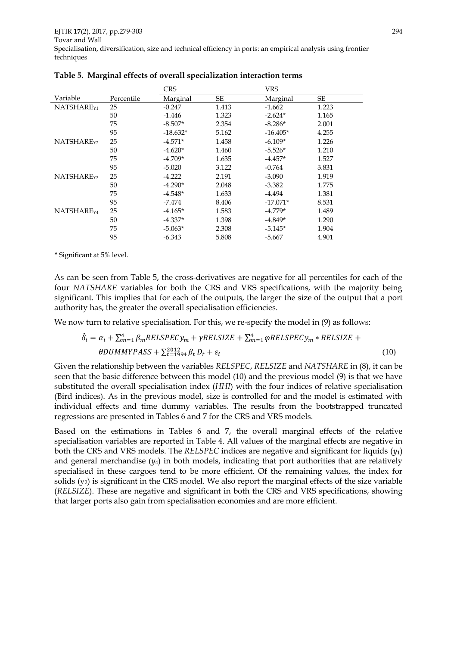|                        |            | <b>CRS</b> |           | <b>VRS</b> |       |
|------------------------|------------|------------|-----------|------------|-------|
| Variable               | Percentile | Marginal   | <b>SE</b> | Marginal   | SE    |
| NATSHARE <sub>Y1</sub> | 25         | $-0.247$   | 1.413     | $-1.662$   | 1.223 |
|                        | 50         | $-1.446$   | 1.323     | $-2.624*$  | 1.165 |
|                        | 75         | $-8.507*$  | 2.354     | $-8.286*$  | 2.001 |
|                        | 95         | $-18.632*$ | 5.162     | $-16.405*$ | 4.255 |
| NATSHARE <sub>Y2</sub> | 25         | $-4.571*$  | 1.458     | $-6.109*$  | 1.226 |
|                        | 50         | $-4.620*$  | 1.460     | $-5.526*$  | 1.210 |
|                        | 75         | $-4.709*$  | 1.635     | $-4.457*$  | 1.527 |
|                        | 95         | $-5.020$   | 3.122     | $-0.764$   | 3.831 |
| NATSHARE <sub>Y3</sub> | 25         | $-4.222$   | 2.191     | $-3.090$   | 1.919 |
|                        | 50         | $-4.290*$  | 2.048     | $-3.382$   | 1.775 |
|                        | 75         | $-4.548*$  | 1.633     | $-4.494$   | 1.381 |
|                        | 95         | $-7.474$   | 8.406     | $-17.071*$ | 8.531 |
| NATSHARE <sub>Y4</sub> | 25         | $-4.165*$  | 1.583     | $-4.779*$  | 1.489 |
|                        | 50         | $-4.337*$  | 1.398     | $-4.849*$  | 1.290 |
|                        | 75         | $-5.063*$  | 2.308     | $-5.145*$  | 1.904 |
|                        | 95         | $-6.343$   | 5.808     | $-5.667$   | 4.901 |

|  |  | Table 5. Marginal effects of overall specialization interaction terms |  |
|--|--|-----------------------------------------------------------------------|--|
|  |  |                                                                       |  |

**\*** Significant at 5% level.

As can be seen from Table 5, the cross-derivatives are negative for all percentiles for each of the four *NATSHARE* variables for both the CRS and VRS specifications, with the majority being significant. This implies that for each of the outputs, the larger the size of the output that a port authority has, the greater the overall specialisation efficiencies.

We now turn to relative specialisation. For this, we re-specify the model in (9) as follows:

$$
\hat{\delta}_i = \alpha_i + \sum_{m=1}^4 \beta_m RELSPECy_m + \gamma RELSIZE + \sum_{m=1}^4 \varphi RELSPECy_m * RELSIZE + \theta DUMMYPASS + \sum_{t=1994}^{2012} \beta_t D_t + \varepsilon_i
$$
\n(10)

Given the relationship between the variables *RELSPEC*, *RELSIZE* and *NATSHARE* in (8), it can be seen that the basic difference between this model (10) and the previous model (9) is that we have substituted the overall specialisation index (*HHI*) with the four indices of relative specialisation (Bird indices). As in the previous model, size is controlled for and the model is estimated with individual effects and time dummy variables. The results from the bootstrapped truncated regressions are presented in Tables 6 and 7 for the CRS and VRS models.

Based on the estimations in Tables 6 and 7, the overall marginal effects of the relative specialisation variables are reported in Table 4. All values of the marginal effects are negative in both the CRS and VRS models. The *RELSPEC* indices are negative and significant for liquids (*y*1) and general merchandise (*y*4) in both models, indicating that port authorities that are relatively specialised in these cargoes tend to be more efficient. Of the remaining values, the index for solids (y2) is significant in the CRS model. We also report the marginal effects of the size variable (*RELSIZE*). These are negative and significant in both the CRS and VRS specifications, showing that larger ports also gain from specialisation economies and are more efficient.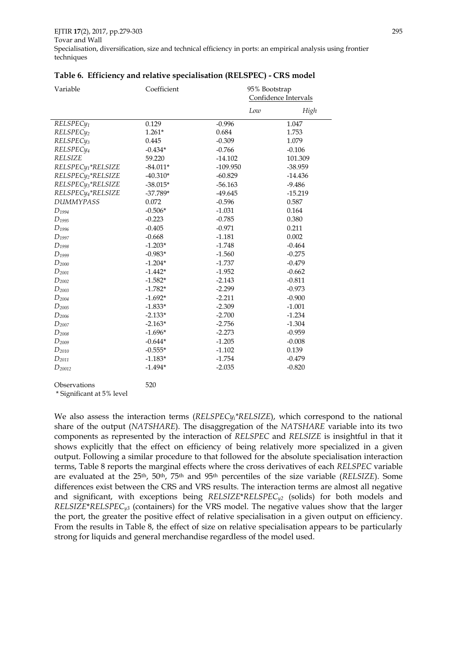| Variable                       | Coefficient | 95% Bootstrap        |           |
|--------------------------------|-------------|----------------------|-----------|
|                                |             | Confidence Intervals |           |
|                                |             | Low                  | High      |
| RELSPEC <sub>V1</sub>          | 0.129       | $-0.996$             | 1.047     |
| RELSPEC <sub>y2</sub>          | $1.261*$    | 0.684                | 1.753     |
| RELSPEC <sub>V3</sub>          | 0.445       | $-0.309$             | 1.079     |
| RELSPEC <sub>14</sub>          | $-0.434*$   | $-0.766$             | $-0.106$  |
| <b>RELSIZE</b>                 | 59.220      | $-14.102$            | 101.309   |
| RELSPEC <sub>V1</sub> *RELSIZE | $-84.011*$  | $-109.950$           | -38.959   |
| RELSPECy <sub>2</sub> *RELSIZE | $-40.310*$  | $-60.829$            | $-14.436$ |
| RELSPEC <sub>y3</sub> *RELSIZE | $-38.015*$  | $-56.163$            | $-9.486$  |
| RELSPEC <sub>V4</sub> *RELSIZE | $-37.789*$  | $-49.645$            | $-15.219$ |
| <b>DUMMYPASS</b>               | 0.072       | $-0.596$             | 0.587     |
| $D_{1994}$                     | $-0.506*$   | $-1.031$             | 0.164     |
| $D_{\rm 1995}$                 | $-0.223$    | $-0.785$             | 0.380     |
| $D_{1996}$                     | $-0.405$    | $-0.971$             | 0.211     |
| $D_{1997}$                     | $-0.668$    | $-1.181$             | 0.002     |
| $D_{1998}$                     | $-1.203*$   | $-1.748$             | $-0.464$  |
| $D_{1999}$                     | $-0.983*$   | $-1.560$             | $-0.275$  |
| $D_{2000}$                     | $-1.204*$   | $-1.737$             | $-0.479$  |
| $D_{2001}$                     | $-1.442*$   | $-1.952$             | $-0.662$  |
| $D_{2002}$                     | $-1.582*$   | $-2.143$             | $-0.811$  |
| $D_{2003}$                     | $-1.782*$   | $-2.299$             | $-0.973$  |
| $D_{2004}$                     | $-1.692*$   | $-2.211$             | $-0.900$  |
| $D_{2005}$                     | $-1.833*$   | $-2.309$             | $-1.001$  |
| $D_{2006}$                     | $-2.133*$   | $-2.700$             | $-1.234$  |
| $D_{2007}$                     | $-2.163*$   | $-2.756$             | $-1.304$  |
| $D_{2008}$                     | $-1.696*$   | $-2.273$             | $-0.959$  |
| $D_{2009}$                     | $-0.644*$   | $-1.205$             | $-0.008$  |
| $D_{2010}$                     | $-0.555*$   | $-1.102$             | 0.139     |
| $D_{2011}$                     | $-1.183*$   | $-1.754$             | $-0.479$  |
| $D_{20012}$                    | $-1.494*$   | $-2.035$             | $-0.820$  |
|                                |             |                      |           |

#### **Table 6. Efficiency and relative specialisation (RELSPEC) - CRS model**

Observations 520 \* Significant at 5% level

We also assess the interaction terms (*RELSPECyi\*RELSIZE*), which correspond to the national share of the output (*NATSHARE*). The disaggregation of the *NATSHARE* variable into its two components as represented by the interaction of *RELSPEC* and *RELSIZE* is insightful in that it shows explicitly that the effect on efficiency of being relatively more specialized in a given output. Following a similar procedure to that followed for the absolute specialisation interaction terms, Table 8 reports the marginal effects where the cross derivatives of each *RELSPEC* variable are evaluated at the 25th, 50th, 75th and 95th percentiles of the size variable (*RELSIZE*). Some differences exist between the CRS and VRS results. The interaction terms are almost all negative and significant, with exceptions being *RELSIZE*\**RELSPECy2* (solids) for both models and *RELSIZE*\**RELSPECy3* (containers) for the VRS model. The negative values show that the larger the port, the greater the positive effect of relative specialisation in a given output on efficiency. From the results in Table 8, the effect of size on relative specialisation appears to be particularly strong for liquids and general merchandise regardless of the model used.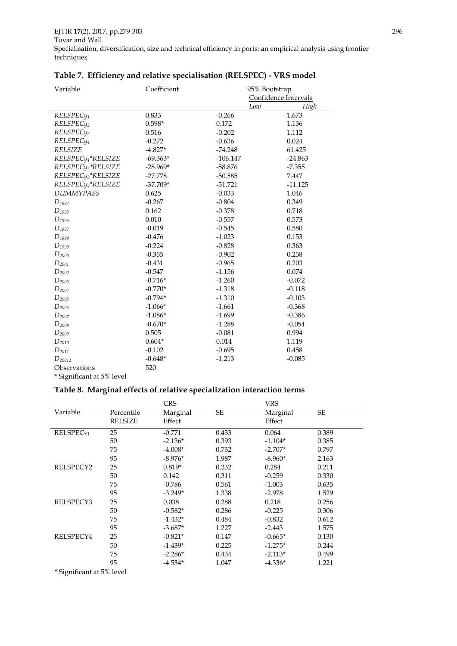| Variable                       | Coefficient | 95% Bootstrap |                      |
|--------------------------------|-------------|---------------|----------------------|
|                                |             |               | Confidence Intervals |
|                                |             | Low           | High                 |
| RELSPEC <sub>y1</sub>          | 0.833       | $-0.266$      | 1.673                |
| RELSPEC <sub>y2</sub>          | $0.598*$    | 0.172         | 1.136                |
| RELSPEC <sub>V3</sub>          | 0.516       | $-0.202$      | 1.112                |
| RELSPEC <sub>14</sub>          | $-0.272$    | $-0.636$      | 0.024                |
| <b>RELSIZE</b>                 | $-4.827*$   | $-74.248$     | 61.425               |
| RELSPEC <sub>y1</sub> *RELSIZE | $-69.363*$  | $-106.147$    | $-24.863$            |
| RELSPEC <sub>y2</sub> *RELSIZE | $-28.969*$  | $-58.876$     | $-7.355$             |
| RELSPEC <sub>V3</sub> *RELSIZE | $-27.778$   | $-50.585$     | 7.447                |
| RELSPEC <sub>y4</sub> *RELSIZE | $-37.709*$  | $-51.721$     | $-11.125$            |
| <b>DUMMYPASS</b>               | 0.625       | $-0.033$      | 1.046                |
| $D_{1994}$                     | $-0.267$    | $-0.804$      | 0.349                |
| $D_{1995}$                     | 0.162       | $-0.378$      | 0.718                |
| $D_{1996}$                     | 0.010       | $-0.557$      | 0.573                |
| $D_{1997}$                     | $-0.019$    | $-0.545$      | 0.580                |
| $D_{1998}$                     | $-0.476$    | $-1.023$      | 0.153                |
| $D_{1999}$                     | $-0.224$    | $-0.828$      | 0.363                |
| $D_{2000}$                     | $-0.355$    | $-0.902$      | 0.258                |
| $D_{2001}$                     | $-0.431$    | $-0.965$      | 0.203                |
| $D_{2002}$                     | $-0.547$    | $-1.156$      | 0.074                |
| $D_{2003}$                     | $-0.716*$   | $-1.260$      | $-0.072$             |
| $D_{2004}$                     | $-0.770*$   | $-1.318$      | $-0.118$             |
| $D_{\rm 2005}$                 | $-0.794*$   | $-1.310$      | $-0.103$             |
| $D_{2006}$                     | $-1.066*$   | $-1.661$      | $-0.368$             |
| $D_{2007}$                     | $-1.086*$   | $-1.699$      | $-0.386$             |
| $D_{2008}$                     | $-0.670*$   | $-1.288$      | $-0.054$             |
| $D_{2009}$                     | 0.505       | $-0.081$      | 0.994                |
| $D_{2010}$                     | $0.604*$    | 0.014         | 1.119                |
| $D_{2011}$                     | $-0.102$    | $-0.695$      | 0.458                |
| $D_{20012}$                    | $-0.648*$   | $-1.213$      | $-0.085$             |
| Observations                   | 520         |               |                      |

#### **Table 7. Efficiency and relative specialisation (RELSPEC) - VRS model**

**\*** Significant at 5% level

#### **Table 8. Marginal effects of relative specialization interaction terms**

|                                                                              |                | <b>CRS</b> |           | <b>VRS</b> |       |
|------------------------------------------------------------------------------|----------------|------------|-----------|------------|-------|
| Variable                                                                     | Percentile     | Marginal   | <b>SE</b> | Marginal   | SE    |
|                                                                              | <b>RELSIZE</b> | Effect     |           | Effect     |       |
| RELSPEC <sub>Y1</sub>                                                        | 25             | $-0.771$   | 0.433     | 0.064      | 0.389 |
|                                                                              | 50             | $-2.136*$  | 0.393     | $-1.104*$  | 0.385 |
|                                                                              | 75             | $-4.008*$  | 0.732     | $-2.707*$  | 0.797 |
|                                                                              | 95             | $-8.976*$  | 1.987     | $-6.960*$  | 2.163 |
| RELSPECY2                                                                    | 25             | $0.819*$   | 0.232     | 0.284      | 0.211 |
|                                                                              | 50             | 0.142      | 0.311     | $-0.259$   | 0.330 |
|                                                                              | 75             | $-0.786$   | 0.561     | $-1.003$   | 0.635 |
|                                                                              | 95             | $-3.249*$  | 1.338     | $-2.978$   | 1.529 |
| RELSPECY3                                                                    | 25             | 0.038      | 0.288     | 0.218      | 0.256 |
|                                                                              | 50             | $-0.582*$  | 0.286     | $-0.225$   | 0.306 |
|                                                                              | 75             | $-1.432*$  | 0.484     | $-0.832$   | 0.612 |
|                                                                              | 95             | $-3.687*$  | 1.227     | $-2.443$   | 1.575 |
| RELSPECY4                                                                    | 25             | $-0.821*$  | 0.147     | $-0.665*$  | 0.130 |
|                                                                              | 50             | $-1.439*$  | 0.225     | $-1.275*$  | 0.244 |
|                                                                              | 75             | $-2.286*$  | 0.434     | $-2.113*$  | 0.499 |
|                                                                              | 95             | $-4.534*$  | 1.047     | $-4.336*$  | 1.221 |
| .<br>$\cdot$ $\sim$<br>$\cdot$ $\cdot$ $\sim$ $\sim$ $\cdot$ $\cdot$ $\cdot$ |                |            |           |            |       |

**\*** Significant at 5% level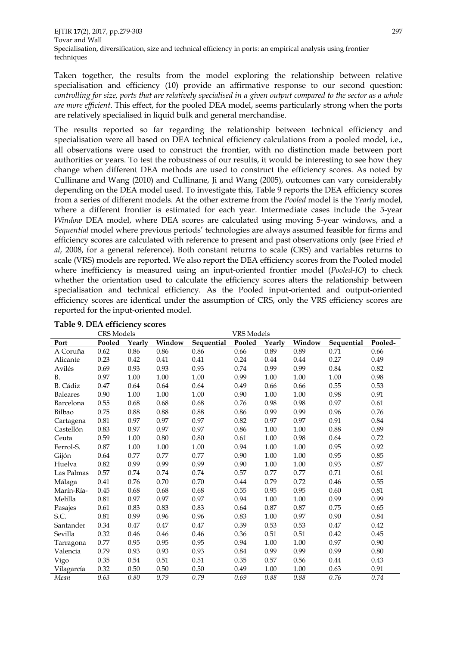EJTIR **17**(2), 2017, pp.279-303 297 Tovar and Wall Specialisation, diversification, size and technical efficiency in ports: an empirical analysis using frontier techniques

Taken together, the results from the model exploring the relationship between relative specialisation and efficiency (10) provide an affirmative response to our second question: *controlling for size, ports that are relatively specialised in a given output compared to the sector as a whole are more efficient*. This effect, for the pooled DEA model, seems particularly strong when the ports are relatively specialised in liquid bulk and general merchandise.

The results reported so far regarding the relationship between technical efficiency and specialisation were all based on DEA technical efficiency calculations from a pooled model, i.e., all observations were used to construct the frontier, with no distinction made between port authorities or years. To test the robustness of our results, it would be interesting to see how they change when different DEA methods are used to construct the efficiency scores. As noted by Cullinane and Wang (2010) and Cullinane, Ji and Wang (2005), outcomes can vary considerably depending on the DEA model used. To investigate this, Table 9 reports the DEA efficiency scores from a series of different models. At the other extreme from the *Pooled* model is the *Yearly* model, where a different frontier is estimated for each year. Intermediate cases include the 5-year *Window* DEA model, where DEA scores are calculated using moving 5-year windows, and a *Sequential* model where previous periods' technologies are always assumed feasible for firms and efficiency scores are calculated with reference to present and past observations only (see Fried *et al*, 2008, for a general reference). Both constant returns to scale (CRS) and variables returns to scale (VRS) models are reported. We also report the DEA efficiency scores from the Pooled model where inefficiency is measured using an input-oriented frontier model (*Pooled-IO*) to check whether the orientation used to calculate the efficiency scores alters the relationship between specialisation and technical efficiency. As the Pooled input-oriented and output-oriented efficiency scores are identical under the assumption of CRS, only the VRS efficiency scores are reported for the input-oriented model.

|                 | <b>VRS</b> Models<br><b>CRS</b> Models |          |          |            |          |          |          |            |          |
|-----------------|----------------------------------------|----------|----------|------------|----------|----------|----------|------------|----------|
| Port            | Pooled                                 | Yearly   | Window   | Sequential | Pooled   | Yearly   | Window   | Sequential | Pooled-  |
| A Coruña        | 0.62                                   | 0.86     | 0.86     | 0.86       | 0.66     | 0.89     | 0.89     | 0.71       | 0.66     |
| Alicante        | 0.23                                   | 0.42     | $0.41\,$ | 0.41       | 0.24     | 0.44     | 0.44     | 0.27       | 0.49     |
| Avilés          | 0.69                                   | 0.93     | 0.93     | 0.93       | 0.74     | 0.99     | 0.99     | 0.84       | 0.82     |
| <b>B.</b>       | 0.97                                   | 1.00     | 1.00     | 1.00       | 0.99     | 1.00     | $1.00\,$ | 1.00       | 0.98     |
| B. Cádiz        | 0.47                                   | 0.64     | 0.64     | 0.64       | 0.49     | 0.66     | 0.66     | 0.55       | 0.53     |
| <b>Baleares</b> | 0.90                                   | 1.00     | 1.00     | $1.00\,$   | 0.90     | 1.00     | 1.00     | 0.98       | 0.91     |
| Barcelona       | 0.55                                   | 0.68     | 0.68     | 0.68       | 0.76     | 0.98     | 0.98     | 0.97       | 0.61     |
| Bilbao          | 0.75                                   | 0.88     | 0.88     | 0.88       | 0.86     | 0.99     | 0.99     | 0.96       | 0.76     |
| Cartagena       | $0.81\,$                               | 0.97     | 0.97     | 0.97       | 0.82     | 0.97     | 0.97     | 0.91       | 0.84     |
| Castellón       | 0.83                                   | 0.97     | 0.97     | 0.97       | 0.86     | 1.00     | $1.00\,$ | 0.88       | 0.89     |
| Ceuta           | 0.59                                   | 1.00     | 0.80     | 0.80       | 0.61     | 1.00     | 0.98     | 0.64       | 0.72     |
| Ferrol-S.       | $0.87\,$                               | $1.00\,$ | $1.00\,$ | $1.00\,$   | 0.94     | $1.00\,$ | $1.00\,$ | 0.95       | 0.92     |
| Gijón           | 0.64                                   | 0.77     | 0.77     | 0.77       | 0.90     | 1.00     | 1.00     | 0.95       | 0.85     |
| Huelva          | 0.82                                   | 0.99     | 0.99     | 0.99       | 0.90     | $1.00\,$ | 1.00     | 0.93       | 0.87     |
| Las Palmas      | 0.57                                   | 0.74     | 0.74     | 0.74       | 0.57     | 0.77     | 0.77     | 0.71       | 0.61     |
| Málaga          | 0.41                                   | 0.76     | 0.70     | 0.70       | 0.44     | 0.79     | 0.72     | 0.46       | 0.55     |
| Marín-Ría-      | 0.45                                   | 0.68     | 0.68     | 0.68       | 0.55     | 0.95     | 0.95     | 0.60       | $0.81\,$ |
| Melilla         | $0.81\,$                               | 0.97     | 0.97     | 0.97       | 0.94     | 1.00     | 1.00     | 0.99       | 0.99     |
| Pasajes         | $0.61\,$                               | 0.83     | 0.83     | 0.83       | $0.64\,$ | 0.87     | 0.87     | 0.75       | 0.65     |
| S.C.            | 0.81                                   | 0.99     | 0.96     | 0.96       | 0.83     | 1.00     | 0.97     | 0.90       | 0.84     |
| Santander       | 0.34                                   | 0.47     | 0.47     | 0.47       | 0.39     | 0.53     | 0.53     | 0.47       | 0.42     |
| Sevilla         | 0.32                                   | 0.46     | 0.46     | 0.46       | 0.36     | 0.51     | 0.51     | 0.42       | 0.45     |
| Tarragona       | 0.77                                   | 0.95     | 0.95     | 0.95       | 0.94     | 1.00     | 1.00     | 0.97       | 0.90     |
| Valencia        | 0.79                                   | 0.93     | 0.93     | 0.93       | 0.84     | 0.99     | 0.99     | 0.99       | $0.80\,$ |
| Vigo            | 0.35                                   | 0.54     | 0.51     | 0.51       | 0.35     | 0.57     | 0.56     | 0.44       | 0.43     |
| Vilagarcía      | 0.32                                   | 0.50     | 0.50     | 0.50       | 0.49     | 1.00     | 1.00     | 0.63       | 0.91     |
| Mean            | 0.63                                   | 0.80     | 0.79     | 0.79       | 0.69     | 0.88     | 0.88     | 0.76       | 0.74     |

**Table 9. DEA efficiency scores**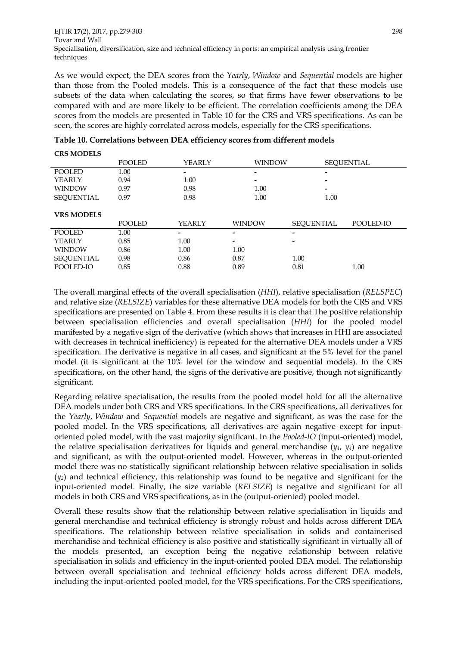As we would expect, the DEA scores from the *Yearly*, *Window* and *Sequential* models are higher than those from the Pooled models. This is a consequence of the fact that these models use subsets of the data when calculating the scores, so that firms have fewer observations to be compared with and are more likely to be efficient. The correlation coefficients among the DEA scores from the models are presented in Table 10 for the CRS and VRS specifications. As can be seen, the scores are highly correlated across models, especially for the CRS specifications.

|                   | <b>POOLED</b> | YEARLY        | <b>WINDOW</b>            |                          | <b>SEQUENTIAL</b> |
|-------------------|---------------|---------------|--------------------------|--------------------------|-------------------|
| <b>POOLED</b>     | 1.00          | -             |                          | $\,$                     |                   |
| <b>YEARLY</b>     | 0.94          | 1.00          |                          | $\overline{\phantom{0}}$ |                   |
| <b>WINDOW</b>     | 0.97          | 0.98          | 1.00                     | $\overline{\phantom{0}}$ |                   |
| <b>SEQUENTIAL</b> | 0.97          | 0.98          | 1.00                     | 1.00                     |                   |
|                   |               |               |                          |                          |                   |
| <b>VRS MODELS</b> |               |               |                          |                          |                   |
|                   | <b>POOLED</b> | <b>YEARLY</b> | <b>WINDOW</b>            | SEOUENTIAL               | POOLED-IO         |
| <b>POOLED</b>     | 1.00          |               | -                        | -                        |                   |
| <b>YEARLY</b>     | 0.85          | 1.00          | $\overline{\phantom{a}}$ | -                        |                   |
| <b>WINDOW</b>     | 0.86          | 1.00          | 1.00                     |                          |                   |
| <b>SEQUENTIAL</b> | 0.98          | 0.86          | 0.87                     | 1.00                     |                   |
| POOLED-IO         | 0.85          | 0.88          | 0.89                     | 0.81                     | 1.00              |
|                   |               |               |                          |                          |                   |

|  |  | Table 10. Correlations between DEA efficiency scores from different models |  |  |
|--|--|----------------------------------------------------------------------------|--|--|
|  |  |                                                                            |  |  |

**CRS MODELS**

The overall marginal effects of the overall specialisation (*HHI*), relative specialisation (*RELSPEC*) and relative size (*RELSIZE*) variables for these alternative DEA models for both the CRS and VRS specifications are presented on Table 4. From these results it is clear that The positive relationship between specialisation efficiencies and overall specialisation (*HHI*) for the pooled model manifested by a negative sign of the derivative (which shows that increases in HHI are associated with decreases in technical inefficiency) is repeated for the alternative DEA models under a VRS specification. The derivative is negative in all cases, and significant at the 5% level for the panel model (it is significant at the 10% level for the window and sequential models). In the CRS specifications, on the other hand, the signs of the derivative are positive, though not significantly significant.

Regarding relative specialisation, the results from the pooled model hold for all the alternative DEA models under both CRS and VRS specifications. In the CRS specifications, all derivatives for the *Yearly*, *Window* and *Sequential* models are negative and significant, as was the case for the pooled model. In the VRS specifications, all derivatives are again negative except for inputoriented poled model, with the vast majority significant. In the *Pooled-IO* (input-oriented) model, the relative specialisation derivatives for liquids and general merchandise (*y1*, *y4*) are negative and significant, as with the output-oriented model. However, whereas in the output-oriented model there was no statistically significant relationship between relative specialisation in solids (*y2*) and technical efficiency, this relationship was found to be negative and significant for the input-oriented model. Finally, the size variable (*RELSIZE*) is negative and significant for all models in both CRS and VRS specifications, as in the (output-oriented) pooled model.

Overall these results show that the relationship between relative specialisation in liquids and general merchandise and technical efficiency is strongly robust and holds across different DEA specifications. The relationship between relative specialisation in solids and containerised merchandise and technical efficiency is also positive and statistically significant in virtually all of the models presented, an exception being the negative relationship between relative specialisation in solids and efficiency in the input-oriented pooled DEA model. The relationship between overall specialisation and technical efficiency holds across different DEA models, including the input-oriented pooled model, for the VRS specifications. For the CRS specifications,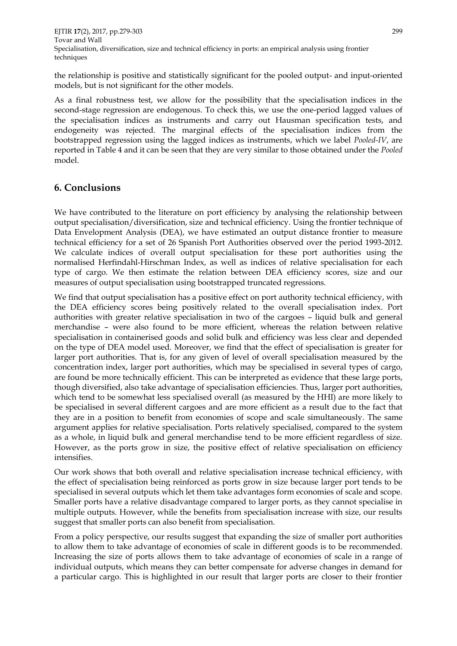the relationship is positive and statistically significant for the pooled output- and input-oriented models, but is not significant for the other models.

As a final robustness test, we allow for the possibility that the specialisation indices in the second-stage regression are endogenous. To check this, we use the one-period lagged values of the specialisation indices as instruments and carry out Hausman specification tests, and endogeneity was rejected. The marginal effects of the specialisation indices from the bootstrapped regression using the lagged indices as instruments, which we label *Pooled-IV*, are reported in Table 4 and it can be seen that they are very similar to those obtained under the *Pooled* model.

# **6. Conclusions**

We have contributed to the literature on port efficiency by analysing the relationship between output specialisation/diversification, size and technical efficiency. Using the frontier technique of Data Envelopment Analysis (DEA), we have estimated an output distance frontier to measure technical efficiency for a set of 26 Spanish Port Authorities observed over the period 1993-2012. We calculate indices of overall output specialisation for these port authorities using the normalised Herfindahl-Hirschman Index, as well as indices of relative specialisation for each type of cargo. We then estimate the relation between DEA efficiency scores, size and our measures of output specialisation using bootstrapped truncated regressions.

We find that output specialisation has a positive effect on port authority technical efficiency, with the DEA efficiency scores being positively related to the overall specialisation index. Port authorities with greater relative specialisation in two of the cargoes – liquid bulk and general merchandise – were also found to be more efficient, whereas the relation between relative specialisation in containerised goods and solid bulk and efficiency was less clear and depended on the type of DEA model used. Moreover, we find that the effect of specialisation is greater for larger port authorities. That is, for any given of level of overall specialisation measured by the concentration index, larger port authorities, which may be specialised in several types of cargo, are found be more technically efficient. This can be interpreted as evidence that these large ports, though diversified, also take advantage of specialisation efficiencies. Thus, larger port authorities, which tend to be somewhat less specialised overall (as measured by the HHI) are more likely to be specialised in several different cargoes and are more efficient as a result due to the fact that they are in a position to benefit from economies of scope and scale simultaneously. The same argument applies for relative specialisation. Ports relatively specialised, compared to the system as a whole, in liquid bulk and general merchandise tend to be more efficient regardless of size. However, as the ports grow in size, the positive effect of relative specialisation on efficiency intensifies.

Our work shows that both overall and relative specialisation increase technical efficiency, with the effect of specialisation being reinforced as ports grow in size because larger port tends to be specialised in several outputs which let them take advantages form economies of scale and scope. Smaller ports have a relative disadvantage compared to larger ports, as they cannot specialise in multiple outputs. However, while the benefits from specialisation increase with size, our results suggest that smaller ports can also benefit from specialisation.

From a policy perspective, our results suggest that expanding the size of smaller port authorities to allow them to take advantage of economies of scale in different goods is to be recommended. Increasing the size of ports allows them to take advantage of economies of scale in a range of individual outputs, which means they can better compensate for adverse changes in demand for a particular cargo. This is highlighted in our result that larger ports are closer to their frontier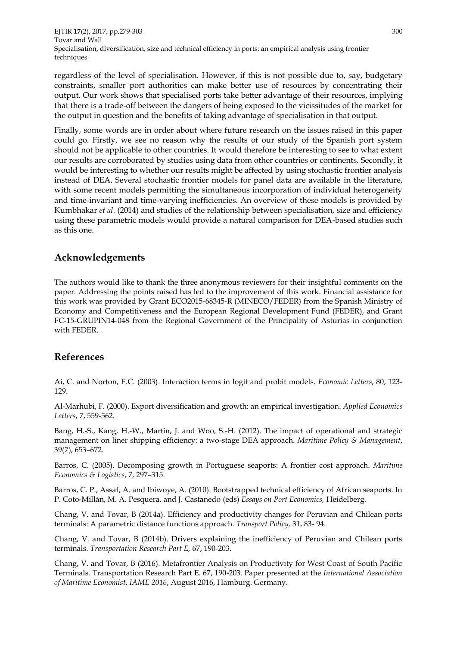regardless of the level of specialisation. However, if this is not possible due to, say, budgetary constraints, smaller port authorities can make better use of resources by concentrating their output. Our work shows that specialised ports take better advantage of their resources, implying that there is a trade-off between the dangers of being exposed to the vicissitudes of the market for the output in question and the benefits of taking advantage of specialisation in that output.

Finally, some words are in order about where future research on the issues raised in this paper could go. Firstly, we see no reason why the results of our study of the Spanish port system should not be applicable to other countries. It would therefore be interesting to see to what extent our results are corroborated by studies using data from other countries or continents. Secondly, it would be interesting to whether our results might be affected by using stochastic frontier analysis instead of DEA. Several stochastic frontier models for panel data are available in the literature, with some recent models permitting the simultaneous incorporation of individual heterogeneity and time-invariant and time-varying inefficiencies. An overview of these models is provided by Kumbhakar *et al*. (2014) and studies of the relationship between specialisation, size and efficiency using these parametric models would provide a natural comparison for DEA-based studies such as this one.

# **Acknowledgements**

The authors would like to thank the three anonymous reviewers for their insightful comments on the paper. Addressing the points raised has led to the improvement of this work. Financial assistance for this work was provided by Grant ECO2015-68345-R (MINECO/FEDER) from the Spanish Ministry of Economy and Competitiveness and the European Regional Development Fund (FEDER), and Grant FC-15-GRUPIN14-048 from the Regional Government of the Principality of Asturias in conjunction with FEDER.

# **References**

Ai, C. and Norton, E.C. (2003). Interaction terms in logit and probit models. *Economic Letters*, 80, 123- 129.

Al-Marhubi, F. (2000). Export diversification and growth: an empirical investigation. *Applied Economics Letters*, 7, 559-562.

Bang, H.-S., Kang, H.-W., Martin, J. and Woo, S.-H. (2012). The impact of operational and strategic management on liner shipping efficiency: a two-stage DEA approach. *Maritime Policy & Management*, 39(7), 653–672.

Barros, C. (2005). Decomposing growth in Portuguese seaports: A frontier cost approach. *Maritime Economics & Logistics*, 7, 297–315.

Barros, C. P., Assaf, A. and Ibiwoye, A. (2010). Bootstrapped technical efficiency of African seaports. In P. Coto-Millán, M. A. Pesquera, and J. Castanedo (eds) *Essays on Port Economics,* Heidelberg.

Chang, V. and Tovar, B (2014a). Efficiency and productivity changes for Peruvian and Chilean ports terminals: A parametric distance functions approach. *Transport Policy,* 31, 83- 94.

Chang, V. and Tovar, B (2014b). Drivers explaining the inefficiency of Peruvian and Chilean ports terminals. *Transportation Research Part E,* 67, 190-203.

Chang, V. and Tovar, B (2016). Metafrontier Analysis on Productivity for West Coast of South Pacific Terminals. Transportation Research Part E. 67, 190-203. Paper presented at the *International Association of Maritime Economist*, *IAME 2016*, August 2016, Hamburg. Germany.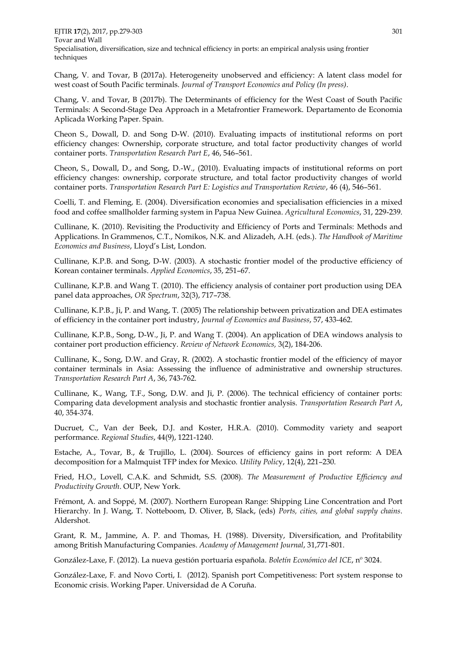EJTIR **17**(2), 2017, pp.279-303 301 Tovar and Wall Specialisation, diversification, size and technical efficiency in ports: an empirical analysis using frontier techniques

Chang, V. and Tovar, B (2017a). Heterogeneity unobserved and efficiency: A latent class model for west coast of South Pacific terminals. *Journal of Transport Economics and Policy (In press)*.

Chang, V. and Tovar, B (2017b). The Determinants of efficiency for the West Coast of South Pacific Terminals: A Second-Stage Dea Approach in a Metafrontier Framework. Departamento de Economia Aplicada Working Paper. Spain.

Cheon S., Dowall, D. and Song D-W. (2010). Evaluating impacts of institutional reforms on port efficiency changes: Ownership, corporate structure, and total factor productivity changes of world container ports. *Transportation Research Part E*, 46, 546–561.

Cheon, S., Dowall, D., and Song, D.-W., (2010). Evaluating impacts of institutional reforms on port efficiency changes: ownership, corporate structure, and total factor productivity changes of world container ports. *Transportation Research Part E: Logistics and Transportation Review*, 46 (4), 546–561.

Coelli, T. and Fleming, E. (2004). Diversification economies and specialisation efficiencies in a mixed food and coffee smallholder farming system in Papua New Guinea. *Agricultural Economics*, 31, 229-239.

Cullinane, K. (2010). Revisiting the Productivity and Efficiency of Ports and Terminals: Methods and Applications. In Grammenos, C.T., Nomikos, N.K. and Alizadeh, A.H. (eds.). *The Handbook of Maritime Economics and Business*, Lloyd's List, London.

Cullinane, K.P.B. and Song, D-W. (2003). A stochastic frontier model of the productive efficiency of Korean container terminals. *Applied Economics*, 35, 251–67.

Cullinane, K.P.B. and Wang T. (2010). The efficiency analysis of container port production using DEA panel data approaches, *OR Spectrum*, 32(3), 717–738.

Cullinane, K.P.B., Ji, P. and Wang, T. (2005) The relationship between privatization and DEA estimates of efficiency in the container port industry, *Journal of Economics and Business*, 57, 433-462.

Cullinane, K.P.B., Song, D-W., Ji, P. and Wang T. (2004). An application of DEA windows analysis to container port production efficiency. *Review of Network Economics,* 3(2), 184-206.

Cullinane, K., Song, D.W. and Gray, R. (2002). A stochastic frontier model of the efficiency of mayor container terminals in Asia: Assessing the influence of administrative and ownership structures. *Transportation Research Part A*, 36, 743-762.

Cullinane, K., Wang, T.F., Song, D.W. and Ji, P. (2006). The technical efficiency of container ports: Comparing data development analysis and stochastic frontier analysis. *Transportation Research Part A*, 40, 354-374.

Ducruet, C., Van der Beek, D.J. and Koster, H.R.A. (2010). Commodity variety and seaport performance. *Regional Studies*, 44(9), 1221-1240.

Estache, A., Tovar, B., & Trujillo, L. (2004). Sources of efficiency gains in port reform: A DEA decomposition for a Malmquist TFP index for Mexico. *Utility Polic*y, 12(4), 221–230.

Fried, H.O., Lovell, C.A.K. and Schmidt, S.S. (2008). *The Measurement of Productive Efficiency and Productivity Growth*. OUP, New York.

Frémont, A. and Soppé, M. (2007). Northern European Range: Shipping Line Concentration and Port Hierarchy. In J. Wang, T. Notteboom, D. Oliver, B, Slack, (eds) *Ports, cities, and global supply chains*. Aldershot.

Grant, R. M., Jammine, A. P. and Thomas, H. (1988). Diversity, Diversification, and Profitability among British Manufacturing Companies. *Academy of Management Journal*, 31,771-801.

González-Laxe, F. (2012). La nueva gestión portuaria española. *Boletín Económico del ICE*, nº 3024.

González-Laxe, F. and Novo Corti, I. (2012). Spanish port Competitiveness: Port system response to Economic crisis. Working Paper. Universidad de A Coruña.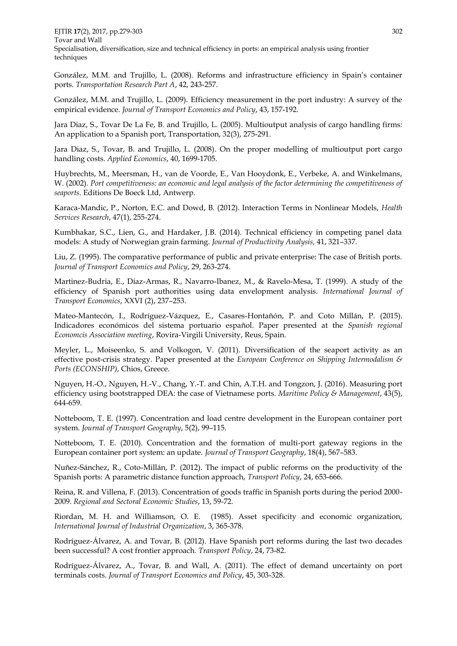EJTIR **17**(2), 2017, pp.279-303 302 Tovar and Wall Specialisation, diversification, size and technical efficiency in ports: an empirical analysis using frontier techniques

González, M.M. and Trujillo, L. (2008). Reforms and infrastructure efficiency in Spain's container ports. *Transportation Research Part A*, 42, 243-257.

González, M.M. and Trujillo, L. (2009). Efficiency measurement in the port industry: A survey of the empirical evidence. *Journal of Transport Economics and Policy*, 43, 157-192.

Jara Diaz, S., Tovar De La Fe, B. and Trujillo, L. (2005). Multioutput analysis of cargo handling firms: An application to a Spanish port, Transportation, 32(3), 275-291.

Jara Diaz, S., Tovar, B. and Trujillo, L. (2008). On the proper modelling of multioutput port cargo handling costs. *Applied Economics*, 40, 1699-1705.

Huybrechts, M., Meersman, H., van de Voorde, E., Van Hooydonk, E., Verbeke, A. and Winkelmans, W. (2002). *Port competitiveness: an economic and legal analysis of the factor determining the competitiveness of seaports*. Editions De Boeck Ltd, Antwerp.

Karaca-Mandic, P., Norton, E.C. and Dowd, B. (2012). Interaction Terms in Nonlinear Models, *Health Services Research*, 47(1), 255-274.

Kumbhakar, S.C., Lien, G., and Hardaker, J.B. (2014). Technical efficiency in competing panel data models: A study of Norwegian grain farming. *Journal of Productivity Analysis,* 41, 321–337.

Liu, Z. (1995). The comparative performance of public and private enterprise: The case of British ports. *Journal of Transport Economics and Policy*, 29, 263-274.

Martinez-Budria, E., Diaz-Armas, R., Navarro-Ibanez, M., & Ravelo-Mesa, T. (1999). A study of the efficiency of Spanish port authorities using data envelopment analysis. *International Journal of Transport Economics*, XXVI (2), 237–253.

Mateo-Mantecón, I., Rodríguez-Vázquez, E., Casares-Hontañón, P. and Coto Millán, P. (2015). Indicadores económicos del sistema portuario español. Paper presented at the *Spanish regional Economcis Association meeting*, Rovira-Virgili University, Reus, Spain.

Meyler, L., Moiseenko, S. and Volkogon, V. (2011). Diversification of the seaport activity as an effective post-crisis strategy. Paper presented at the *European Conference on Shipping Intermodalism & Ports (ECONSHIP)*, Chios, Greece.

Nguyen, H.-O., Nguyen, H.-V., Chang, Y.-T. and Chin, A.T.H. and Tongzon, J. (2016). Measuring port efficiency using bootstrapped DEA: the case of Vietnamese ports. *Maritime Policy & Management*, 43(5), 644-659.

Notteboom, T. E. (1997). Concentration and load centre development in the European container port system. *Journal of Transport Geography*, 5(2), 99–115.

Notteboom, T. E. (2010). Concentration and the formation of multi-port gateway regions in the European container port system: an update. *Journal of Transport Geography*, 18(4), 567–583.

Nuñez-Sánchez, R., Coto-Millán, P. (2012). The impact of public reforms on the productivity of the Spanish ports: A parametric distance function approach, *Transport Policy*, 24, 653-666.

Reina, R. and Villena, F. (2013). Concentration of goods traffic in Spanish ports during the period 2000- 2009. *Regional and Sectoral Economic Studies*, 13, 59-72.

Riordan, M. H. and Williamson, O. E. (1985). Asset specificity and economic organization, *International Journal of Industrial Organization*, 3, 365-378.

Rodríguez-Álvarez, A. and Tovar, B. (2012). Have Spanish port reforms during the last two decades been successful? A cost frontier approach. *Transport Policy*, 24, 73-82.

Rodríguez-Álvarez, A., Tovar, B. and Wall, A. (2011). The effect of demand uncertainty on port terminals costs. *Journal of Transport Economics and Policy*, 45, 303-328.